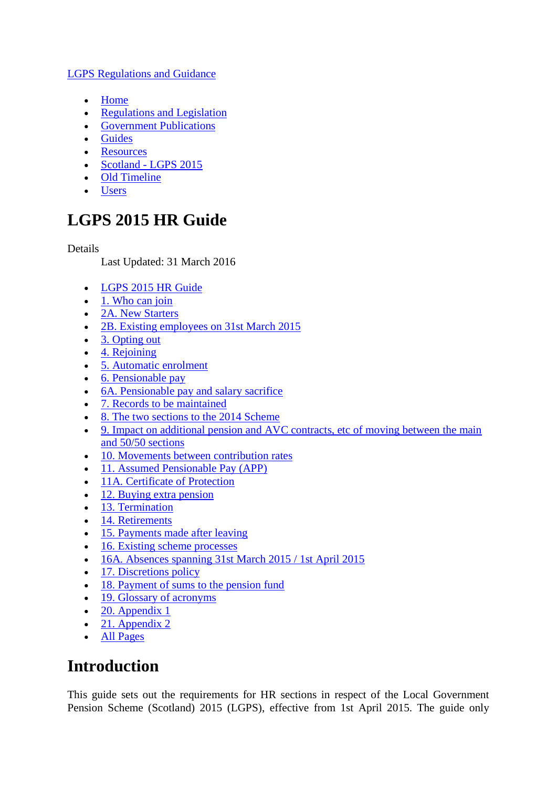#### [LGPS Regulations and Guidance](http://www.lgpsregs.org/)

- [Home](http://www.lgpsregs.org/)
- [Regulations and Legislation](http://www.lgpsregs.org/index.php/regs-legislation)
- [Government Publications](http://www.lgpsregs.org/index.php/dclg-publications)
- [Guides](http://www.lgpsregs.org/index.php/guides)
- [Resources](http://www.lgpsregs.org/index.php/resources)
- Scotland [LGPS 2015](http://www.lgpsregs.org/index.php/scotland)
- [Old Timeline](http://www.lgpsregs.org/timelineregs/Default.html)
- [Users](http://www.lgpsregs.org/index.php/logon-page)

# **LGPS 2015 HR Guide**

#### Details

Last Updated: 31 March 2016

- [LGPS 2015 HR Guide](http://www.lgpsregs.org/index.php/scotland/scot-hr-payroll-guides/lgps2015-hr-guide?showall=&limitstart=)
- $\bullet$  [1. Who can join](http://www.lgpsregs.org/index.php/scotland/scot-hr-payroll-guides/lgps2015-hr-guide?showall=&start=1)
- [2A. New Starters](http://www.lgpsregs.org/index.php/scotland/scot-hr-payroll-guides/lgps2015-hr-guide?showall=&start=2)
- [2B. Existing employees on 31st March 2015](http://www.lgpsregs.org/index.php/scotland/scot-hr-payroll-guides/lgps2015-hr-guide?showall=&start=3)
- [3. Opting out](http://www.lgpsregs.org/index.php/scotland/scot-hr-payroll-guides/lgps2015-hr-guide?showall=&start=4)
- [4. Rejoining](http://www.lgpsregs.org/index.php/scotland/scot-hr-payroll-guides/lgps2015-hr-guide?showall=&start=5)
- [5. Automatic enrolment](http://www.lgpsregs.org/index.php/scotland/scot-hr-payroll-guides/lgps2015-hr-guide?showall=&start=6)
- [6. Pensionable pay](http://www.lgpsregs.org/index.php/scotland/scot-hr-payroll-guides/lgps2015-hr-guide?showall=&start=7)
- [6A. Pensionable pay and salary sacrifice](http://www.lgpsregs.org/index.php/scotland/scot-hr-payroll-guides/lgps2015-hr-guide?showall=&start=8)
- [7. Records to be maintained](http://www.lgpsregs.org/index.php/scotland/scot-hr-payroll-guides/lgps2015-hr-guide?showall=&start=9)
- [8. The two sections to the 2014 Scheme](http://www.lgpsregs.org/index.php/scotland/scot-hr-payroll-guides/lgps2015-hr-guide?showall=&start=10)
- [9. Impact on additional pension and AVC contracts, etc of moving between the main](http://www.lgpsregs.org/index.php/scotland/scot-hr-payroll-guides/lgps2015-hr-guide?showall=&start=11)  [and 50/50 sections](http://www.lgpsregs.org/index.php/scotland/scot-hr-payroll-guides/lgps2015-hr-guide?showall=&start=11)
- $\overline{10}$ . Movements between contribution rates
- [11. Assumed Pensionable Pay \(APP\)](http://www.lgpsregs.org/index.php/scotland/scot-hr-payroll-guides/lgps2015-hr-guide?showall=&start=13)
- [11A. Certificate of Protection](http://www.lgpsregs.org/index.php/scotland/scot-hr-payroll-guides/lgps2015-hr-guide?showall=&start=14)
- [12. Buying extra pension](http://www.lgpsregs.org/index.php/scotland/scot-hr-payroll-guides/lgps2015-hr-guide?showall=&start=15)
- [13. Termination](http://www.lgpsregs.org/index.php/scotland/scot-hr-payroll-guides/lgps2015-hr-guide?showall=&start=16)
- [14. Retirements](http://www.lgpsregs.org/index.php/scotland/scot-hr-payroll-guides/lgps2015-hr-guide?showall=&start=17)
- [15. Payments made after leaving](http://www.lgpsregs.org/index.php/scotland/scot-hr-payroll-guides/lgps2015-hr-guide?showall=&start=18)
- [16. Existing scheme processes](http://www.lgpsregs.org/index.php/scotland/scot-hr-payroll-guides/lgps2015-hr-guide?showall=&start=19)
- [16A. Absences spanning 31st March 2015 / 1st April 2015](http://www.lgpsregs.org/index.php/scotland/scot-hr-payroll-guides/lgps2015-hr-guide?showall=&start=20)
- [17. Discretions policy](http://www.lgpsregs.org/index.php/scotland/scot-hr-payroll-guides/lgps2015-hr-guide?showall=&start=21)
- [18. Payment of sums to the pension fund](http://www.lgpsregs.org/index.php/scotland/scot-hr-payroll-guides/lgps2015-hr-guide?showall=&start=22)
- [19. Glossary of acronyms](http://www.lgpsregs.org/index.php/scotland/scot-hr-payroll-guides/lgps2015-hr-guide?showall=&start=23)
- $\bullet$  [20. Appendix 1](http://www.lgpsregs.org/index.php/scotland/scot-hr-payroll-guides/lgps2015-hr-guide?showall=&start=24)
- $\bullet$  [21. Appendix 2](http://www.lgpsregs.org/index.php/scotland/scot-hr-payroll-guides/lgps2015-hr-guide?showall=&start=25)
- [All Pages](http://www.lgpsregs.org/index.php/scotland/scot-hr-payroll-guides/lgps2015-hr-guide?showall=1&limitstart=)

# **Introduction**

This guide sets out the requirements for HR sections in respect of the Local Government Pension Scheme (Scotland) 2015 (LGPS), effective from 1st April 2015. The guide only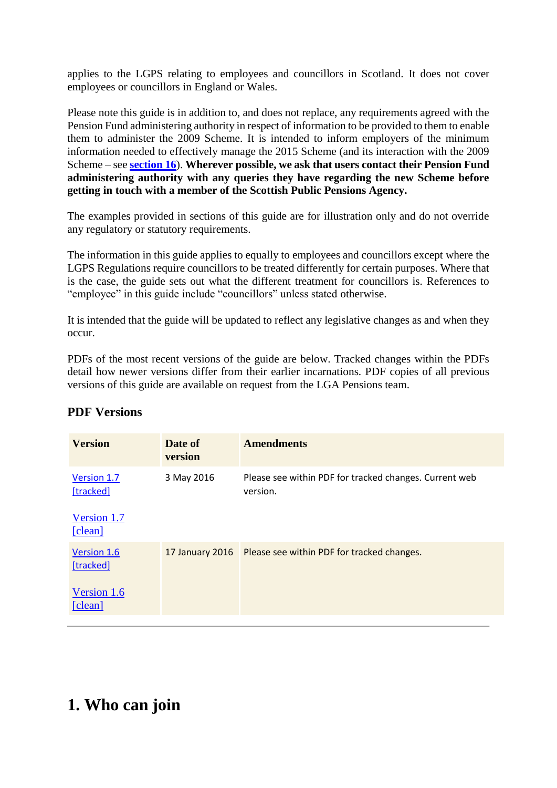applies to the LGPS relating to employees and councillors in Scotland. It does not cover employees or councillors in England or Wales.

Please note this guide is in addition to, and does not replace, any requirements agreed with the Pension Fund administering authority in respect of information to be provided to them to enable them to administer the 2009 Scheme. It is intended to inform employers of the minimum information needed to effectively manage the 2015 Scheme (and its interaction with the 2009 Scheme – see **[section 16](http://www.lgpsregs.org/index.php/scotland/scot-hr-payroll-guides/lgps2015-hr-guide?showall=&start=19)**). **Wherever possible, we ask that users contact their Pension Fund administering authority with any queries they have regarding the new Scheme before getting in touch with a member of the Scottish Public Pensions Agency.**

The examples provided in sections of this guide are for illustration only and do not override any regulatory or statutory requirements.

The information in this guide applies to equally to employees and councillors except where the LGPS Regulations require councillors to be treated differently for certain purposes. Where that is the case, the guide sets out what the different treatment for councillors is. References to "employee" in this guide include "councillors" unless stated otherwise.

It is intended that the guide will be updated to reflect any legislative changes as and when they occur.

PDFs of the most recent versions of the guide are below. Tracked changes within the PDFs detail how newer versions differ from their earlier incarnations. PDF copies of all previous versions of this guide are available on request from the LGA Pensions team.

| <b>Version</b>                         | Date of<br>version | <b>Amendments</b>                                                  |
|----------------------------------------|--------------------|--------------------------------------------------------------------|
| Version 1.7<br>[tracked]               | 3 May 2016         | Please see within PDF for tracked changes. Current web<br>version. |
| Version 1.7<br>[clean]                 |                    |                                                                    |
| Version 1.6<br>[tracked]               | 17 January 2016    | Please see within PDF for tracked changes.                         |
| Version 1.6<br>$\lceil$ clean $\rceil$ |                    |                                                                    |

### **PDF Versions**

# **1. Who can join**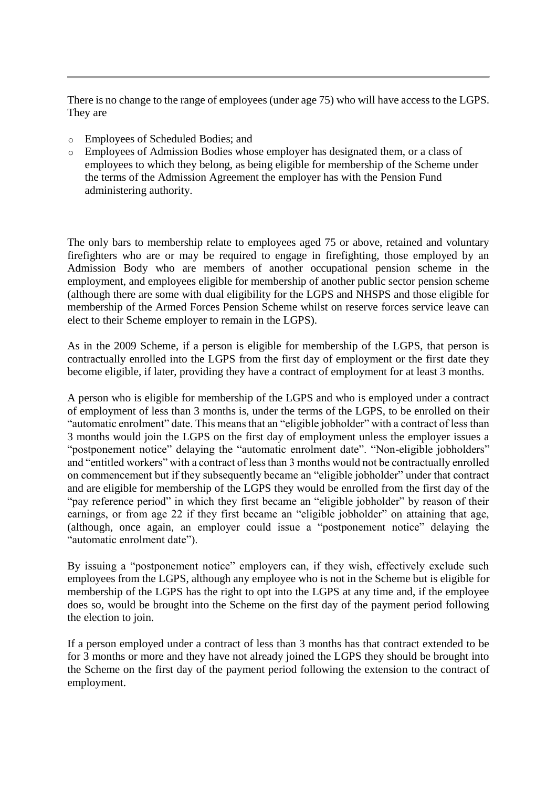There is no change to the range of employees (under age 75) who will have access to the LGPS. They are

- o Employees of Scheduled Bodies; and
- o Employees of Admission Bodies whose employer has designated them, or a class of employees to which they belong, as being eligible for membership of the Scheme under the terms of the Admission Agreement the employer has with the Pension Fund administering authority.

The only bars to membership relate to employees aged 75 or above, retained and voluntary firefighters who are or may be required to engage in firefighting, those employed by an Admission Body who are members of another occupational pension scheme in the employment, and employees eligible for membership of another public sector pension scheme (although there are some with dual eligibility for the LGPS and NHSPS and those eligible for membership of the Armed Forces Pension Scheme whilst on reserve forces service leave can elect to their Scheme employer to remain in the LGPS).

As in the 2009 Scheme, if a person is eligible for membership of the LGPS, that person is contractually enrolled into the LGPS from the first day of employment or the first date they become eligible, if later, providing they have a contract of employment for at least 3 months.

A person who is eligible for membership of the LGPS and who is employed under a contract of employment of less than 3 months is, under the terms of the LGPS, to be enrolled on their "automatic enrolment" date. This means that an "eligible jobholder" with a contract of less than 3 months would join the LGPS on the first day of employment unless the employer issues a "postponement notice" delaying the "automatic enrolment date". "Non-eligible jobholders" and "entitled workers" with a contract of less than 3 months would not be contractually enrolled on commencement but if they subsequently became an "eligible jobholder" under that contract and are eligible for membership of the LGPS they would be enrolled from the first day of the "pay reference period" in which they first became an "eligible jobholder" by reason of their earnings, or from age 22 if they first became an "eligible jobholder" on attaining that age, (although, once again, an employer could issue a "postponement notice" delaying the "automatic enrolment date").

By issuing a "postponement notice" employers can, if they wish, effectively exclude such employees from the LGPS, although any employee who is not in the Scheme but is eligible for membership of the LGPS has the right to opt into the LGPS at any time and, if the employee does so, would be brought into the Scheme on the first day of the payment period following the election to join.

If a person employed under a contract of less than 3 months has that contract extended to be for 3 months or more and they have not already joined the LGPS they should be brought into the Scheme on the first day of the payment period following the extension to the contract of employment.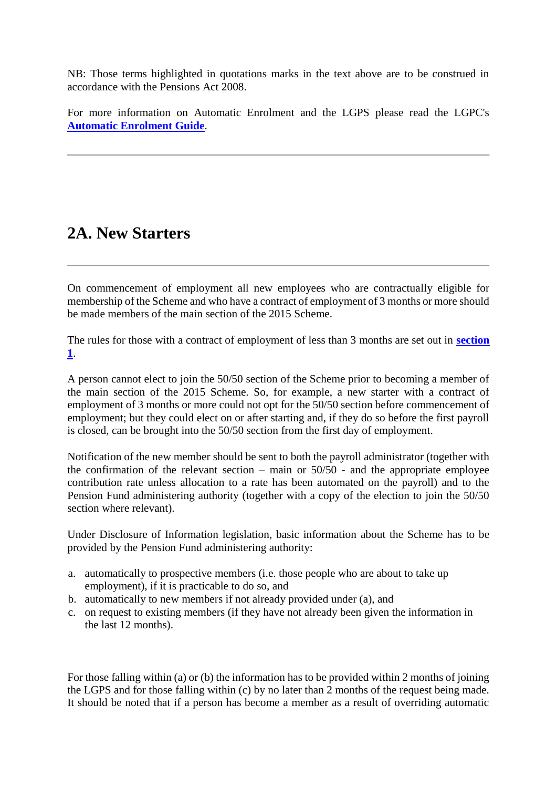NB: Those terms highlighted in quotations marks in the text above are to be construed in accordance with the Pensions Act 2008.

For more information on Automatic Enrolment and the LGPS please read the LGPC's **[Automatic Enrolment Guide](http://www.lgpsregs.org/index.php/scotland/admin-guides)**.

## **2A. New Starters**

On commencement of employment all new employees who are contractually eligible for membership of the Scheme and who have a contract of employment of 3 months or more should be made members of the main section of the 2015 Scheme.

The rules for those with a contract of employment of less than 3 months are set out in **[section](http://www.lgpsregs.org/index.php/scotland/scot-hr-payroll-guides/lgps2015-hr-guide?showall=&start=1)  [1](http://www.lgpsregs.org/index.php/scotland/scot-hr-payroll-guides/lgps2015-hr-guide?showall=&start=1)**.

A person cannot elect to join the 50/50 section of the Scheme prior to becoming a member of the main section of the 2015 Scheme. So, for example, a new starter with a contract of employment of 3 months or more could not opt for the 50/50 section before commencement of employment; but they could elect on or after starting and, if they do so before the first payroll is closed, can be brought into the 50/50 section from the first day of employment.

Notification of the new member should be sent to both the payroll administrator (together with the confirmation of the relevant section – main or  $50/50$  - and the appropriate employee contribution rate unless allocation to a rate has been automated on the payroll) and to the Pension Fund administering authority (together with a copy of the election to join the 50/50 section where relevant).

Under Disclosure of Information legislation, basic information about the Scheme has to be provided by the Pension Fund administering authority:

- a. automatically to prospective members (i.e. those people who are about to take up employment), if it is practicable to do so, and
- b. automatically to new members if not already provided under (a), and
- c. on request to existing members (if they have not already been given the information in the last 12 months).

For those falling within (a) or (b) the information has to be provided within 2 months of joining the LGPS and for those falling within (c) by no later than 2 months of the request being made. It should be noted that if a person has become a member as a result of overriding automatic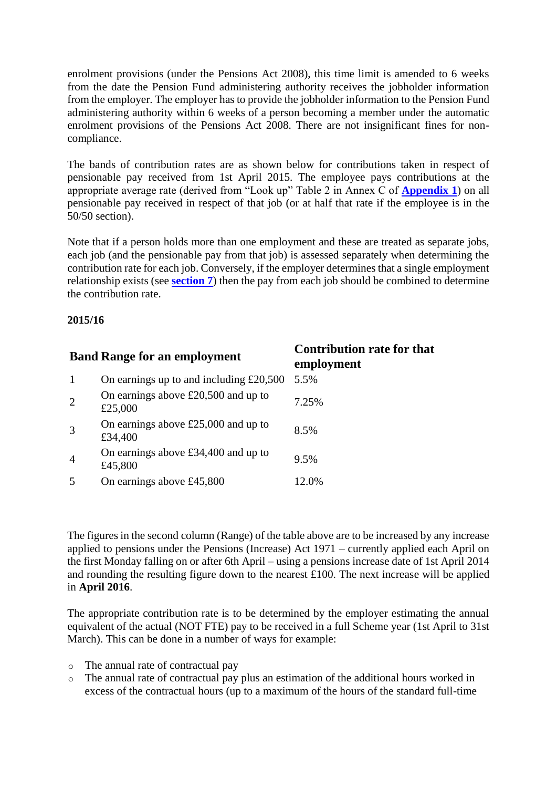enrolment provisions (under the Pensions Act 2008), this time limit is amended to 6 weeks from the date the Pension Fund administering authority receives the jobholder information from the employer. The employer has to provide the jobholder information to the Pension Fund administering authority within 6 weeks of a person becoming a member under the automatic enrolment provisions of the Pensions Act 2008. There are not insignificant fines for noncompliance.

The bands of contribution rates are as shown below for contributions taken in respect of pensionable pay received from 1st April 2015. The employee pays contributions at the appropriate average rate (derived from "Look up" Table 2 in Annex C of **[Appendix 1](http://www.lgpsregs.org/images/2015HRPayroll/Appendix1v1.3.pdf)**) on all pensionable pay received in respect of that job (or at half that rate if the employee is in the 50/50 section).

Note that if a person holds more than one employment and these are treated as separate jobs, each job (and the pensionable pay from that job) is assessed separately when determining the contribution rate for each job. Conversely, if the employer determines that a single employment relationship exists (see **[section 7](http://www.lgpsregs.org/index.php/scotland/scot-hr-payroll-guides/lgps2015-hr-guide?showall=&start=9)**) then the pay from each job should be combined to determine the contribution rate.

#### **2015/16**

| <b>Band Range for an employment</b> |                                                  | <b>Contribution rate for that</b><br>employment |
|-------------------------------------|--------------------------------------------------|-------------------------------------------------|
|                                     | On earnings up to and including $£20,500$        | 5.5%                                            |
| 2                                   | On earnings above $£20,500$ and up to<br>£25,000 | 7.25%                                           |
|                                     | On earnings above $£25,000$ and up to<br>£34,400 | 8.5%                                            |
| $\overline{4}$                      | On earnings above $£34,400$ and up to<br>£45,800 | 9.5%                                            |
|                                     | On earnings above £45,800                        | 12.0%                                           |

The figures in the second column (Range) of the table above are to be increased by any increase applied to pensions under the Pensions (Increase) Act 1971 – currently applied each April on the first Monday falling on or after 6th April – using a pensions increase date of 1st April 2014 and rounding the resulting figure down to the nearest £100. The next increase will be applied in **April 2016**.

The appropriate contribution rate is to be determined by the employer estimating the annual equivalent of the actual (NOT FTE) pay to be received in a full Scheme year (1st April to 31st March). This can be done in a number of ways for example:

- o The annual rate of contractual pay
- o The annual rate of contractual pay plus an estimation of the additional hours worked in excess of the contractual hours (up to a maximum of the hours of the standard full-time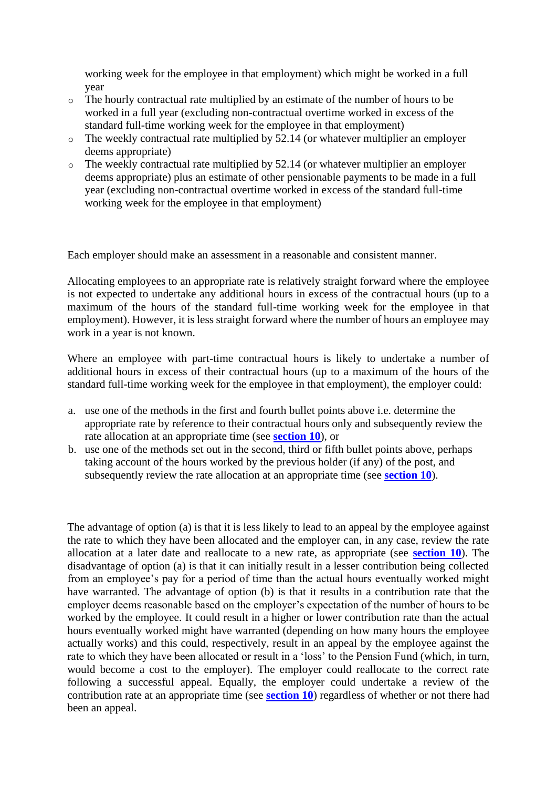working week for the employee in that employment) which might be worked in a full year

- o The hourly contractual rate multiplied by an estimate of the number of hours to be worked in a full year (excluding non-contractual overtime worked in excess of the standard full-time working week for the employee in that employment)
- o The weekly contractual rate multiplied by 52.14 (or whatever multiplier an employer deems appropriate)
- o The weekly contractual rate multiplied by 52.14 (or whatever multiplier an employer deems appropriate) plus an estimate of other pensionable payments to be made in a full year (excluding non-contractual overtime worked in excess of the standard full-time working week for the employee in that employment)

Each employer should make an assessment in a reasonable and consistent manner.

Allocating employees to an appropriate rate is relatively straight forward where the employee is not expected to undertake any additional hours in excess of the contractual hours (up to a maximum of the hours of the standard full-time working week for the employee in that employment). However, it is less straight forward where the number of hours an employee may work in a year is not known.

Where an employee with part-time contractual hours is likely to undertake a number of additional hours in excess of their contractual hours (up to a maximum of the hours of the standard full-time working week for the employee in that employment), the employer could:

- a. use one of the methods in the first and fourth bullet points above i.e. determine the appropriate rate by reference to their contractual hours only and subsequently review the rate allocation at an appropriate time (see **[section 10](http://www.lgpsregs.org/index.php/scotland/scot-hr-payroll-guides/lgps2015-hr-guide?showall=&start=12)**), or
- b. use one of the methods set out in the second, third or fifth bullet points above, perhaps taking account of the hours worked by the previous holder (if any) of the post, and subsequently review the rate allocation at an appropriate time (see **[section 10](http://www.lgpsregs.org/index.php/scotland/scot-hr-payroll-guides/lgps2015-hr-guide?showall=&start=12)**).

The advantage of option (a) is that it is less likely to lead to an appeal by the employee against the rate to which they have been allocated and the employer can, in any case, review the rate allocation at a later date and reallocate to a new rate, as appropriate (see **[section 10](http://www.lgpsregs.org/index.php/scotland/scot-hr-payroll-guides/lgps2015-hr-guide?showall=&start=12)**). The disadvantage of option (a) is that it can initially result in a lesser contribution being collected from an employee's pay for a period of time than the actual hours eventually worked might have warranted. The advantage of option (b) is that it results in a contribution rate that the employer deems reasonable based on the employer's expectation of the number of hours to be worked by the employee. It could result in a higher or lower contribution rate than the actual hours eventually worked might have warranted (depending on how many hours the employee actually works) and this could, respectively, result in an appeal by the employee against the rate to which they have been allocated or result in a 'loss' to the Pension Fund (which, in turn, would become a cost to the employer). The employer could reallocate to the correct rate following a successful appeal. Equally, the employer could undertake a review of the contribution rate at an appropriate time (see **[section 10](http://www.lgpsregs.org/index.php/scotland/scot-hr-payroll-guides/lgps2015-hr-guide?showall=&start=12)**) regardless of whether or not there had been an appeal.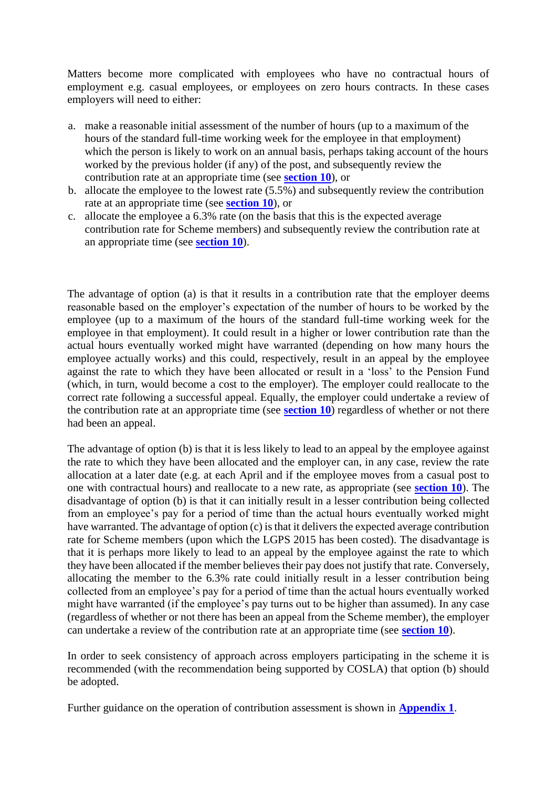Matters become more complicated with employees who have no contractual hours of employment e.g. casual employees, or employees on zero hours contracts. In these cases employers will need to either:

- a. make a reasonable initial assessment of the number of hours (up to a maximum of the hours of the standard full-time working week for the employee in that employment) which the person is likely to work on an annual basis, perhaps taking account of the hours worked by the previous holder (if any) of the post, and subsequently review the contribution rate at an appropriate time (see **[section 10](http://www.lgpsregs.org/index.php/scotland/scot-hr-payroll-guides/lgps2015-hr-guide?showall=&start=12)**), or
- b. allocate the employee to the lowest rate  $(5.5\%)$  and subsequently review the contribution rate at an appropriate time (see **[section 10](http://www.lgpsregs.org/index.php/scotland/scot-hr-payroll-guides/lgps2015-hr-guide?showall=&start=12)**), or
- c. allocate the employee a 6.3% rate (on the basis that this is the expected average contribution rate for Scheme members) and subsequently review the contribution rate at an appropriate time (see **[section 10](http://www.lgpsregs.org/index.php/scotland/scot-hr-payroll-guides/lgps2015-hr-guide?showall=&start=12)**).

The advantage of option (a) is that it results in a contribution rate that the employer deems reasonable based on the employer's expectation of the number of hours to be worked by the employee (up to a maximum of the hours of the standard full-time working week for the employee in that employment). It could result in a higher or lower contribution rate than the actual hours eventually worked might have warranted (depending on how many hours the employee actually works) and this could, respectively, result in an appeal by the employee against the rate to which they have been allocated or result in a 'loss' to the Pension Fund (which, in turn, would become a cost to the employer). The employer could reallocate to the correct rate following a successful appeal. Equally, the employer could undertake a review of the contribution rate at an appropriate time (see **[section 10](http://www.lgpsregs.org/index.php/scotland/scot-hr-payroll-guides/lgps2015-hr-guide?showall=&start=12)**) regardless of whether or not there had been an appeal.

The advantage of option (b) is that it is less likely to lead to an appeal by the employee against the rate to which they have been allocated and the employer can, in any case, review the rate allocation at a later date (e.g. at each April and if the employee moves from a casual post to one with contractual hours) and reallocate to a new rate, as appropriate (see **[section 10](http://www.lgpsregs.org/index.php/scotland/scot-hr-payroll-guides/lgps2015-hr-guide?showall=&start=12)**). The disadvantage of option (b) is that it can initially result in a lesser contribution being collected from an employee's pay for a period of time than the actual hours eventually worked might have warranted. The advantage of option (c) is that it delivers the expected average contribution rate for Scheme members (upon which the LGPS 2015 has been costed). The disadvantage is that it is perhaps more likely to lead to an appeal by the employee against the rate to which they have been allocated if the member believes their pay does not justify that rate. Conversely, allocating the member to the 6.3% rate could initially result in a lesser contribution being collected from an employee's pay for a period of time than the actual hours eventually worked might have warranted (if the employee's pay turns out to be higher than assumed). In any case (regardless of whether or not there has been an appeal from the Scheme member), the employer can undertake a review of the contribution rate at an appropriate time (see **[section 10](http://www.lgpsregs.org/index.php/scotland/scot-hr-payroll-guides/lgps2015-hr-guide?showall=&start=12)**).

In order to seek consistency of approach across employers participating in the scheme it is recommended (with the recommendation being supported by COSLA) that option (b) should be adopted.

Further guidance on the operation of contribution assessment is shown in **[Appendix 1](http://www.lgpsregs.org/images/2015HRPayroll/Appendix1v1.3.pdf)**.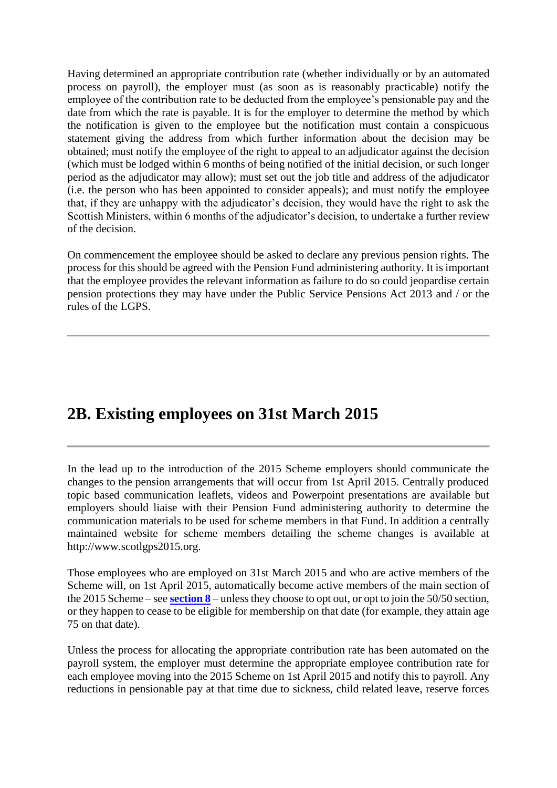Having determined an appropriate contribution rate (whether individually or by an automated process on payroll), the employer must (as soon as is reasonably practicable) notify the employee of the contribution rate to be deducted from the employee's pensionable pay and the date from which the rate is payable. It is for the employer to determine the method by which the notification is given to the employee but the notification must contain a conspicuous statement giving the address from which further information about the decision may be obtained; must notify the employee of the right to appeal to an adjudicator against the decision (which must be lodged within 6 months of being notified of the initial decision, or such longer period as the adjudicator may allow); must set out the job title and address of the adjudicator (i.e. the person who has been appointed to consider appeals); and must notify the employee that, if they are unhappy with the adjudicator's decision, they would have the right to ask the Scottish Ministers, within 6 months of the adjudicator's decision, to undertake a further review of the decision.

On commencement the employee should be asked to declare any previous pension rights. The process for this should be agreed with the Pension Fund administering authority. It is important that the employee provides the relevant information as failure to do so could jeopardise certain pension protections they may have under the Public Service Pensions Act 2013 and / or the rules of the LGPS.

## **2B. Existing employees on 31st March 2015**

In the lead up to the introduction of the 2015 Scheme employers should communicate the changes to the pension arrangements that will occur from 1st April 2015. Centrally produced topic based communication leaflets, videos and Powerpoint presentations are available but employers should liaise with their Pension Fund administering authority to determine the communication materials to be used for scheme members in that Fund. In addition a centrally maintained website for scheme members detailing the scheme changes is available at http://www.scotlgps2015.org.

Those employees who are employed on 31st March 2015 and who are active members of the Scheme will, on 1st April 2015, automatically become active members of the main section of the 2015 Scheme – see **[section 8](http://www.lgpsregs.org/index.php/scotland/scot-hr-payroll-guides/lgps2015-hr-guide?showall=&start=10)** – unless they choose to opt out, or opt to join the 50/50 section, or they happen to cease to be eligible for membership on that date (for example, they attain age 75 on that date).

Unless the process for allocating the appropriate contribution rate has been automated on the payroll system, the employer must determine the appropriate employee contribution rate for each employee moving into the 2015 Scheme on 1st April 2015 and notify this to payroll. Any reductions in pensionable pay at that time due to sickness, child related leave, reserve forces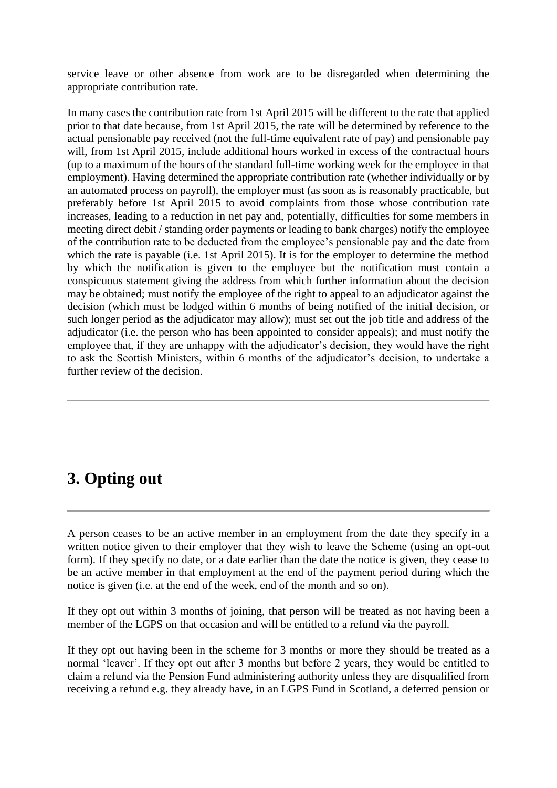service leave or other absence from work are to be disregarded when determining the appropriate contribution rate.

In many cases the contribution rate from 1st April 2015 will be different to the rate that applied prior to that date because, from 1st April 2015, the rate will be determined by reference to the actual pensionable pay received (not the full-time equivalent rate of pay) and pensionable pay will, from 1st April 2015, include additional hours worked in excess of the contractual hours (up to a maximum of the hours of the standard full-time working week for the employee in that employment). Having determined the appropriate contribution rate (whether individually or by an automated process on payroll), the employer must (as soon as is reasonably practicable, but preferably before 1st April 2015 to avoid complaints from those whose contribution rate increases, leading to a reduction in net pay and, potentially, difficulties for some members in meeting direct debit / standing order payments or leading to bank charges) notify the employee of the contribution rate to be deducted from the employee's pensionable pay and the date from which the rate is payable (i.e. 1st April 2015). It is for the employer to determine the method by which the notification is given to the employee but the notification must contain a conspicuous statement giving the address from which further information about the decision may be obtained; must notify the employee of the right to appeal to an adjudicator against the decision (which must be lodged within 6 months of being notified of the initial decision, or such longer period as the adjudicator may allow); must set out the job title and address of the adjudicator (i.e. the person who has been appointed to consider appeals); and must notify the employee that, if they are unhappy with the adjudicator's decision, they would have the right to ask the Scottish Ministers, within 6 months of the adjudicator's decision, to undertake a further review of the decision.

# **3. Opting out**

A person ceases to be an active member in an employment from the date they specify in a written notice given to their employer that they wish to leave the Scheme (using an opt-out form). If they specify no date, or a date earlier than the date the notice is given, they cease to be an active member in that employment at the end of the payment period during which the notice is given (i.e. at the end of the week, end of the month and so on).

If they opt out within 3 months of joining, that person will be treated as not having been a member of the LGPS on that occasion and will be entitled to a refund via the payroll.

If they opt out having been in the scheme for 3 months or more they should be treated as a normal 'leaver'. If they opt out after 3 months but before 2 years, they would be entitled to claim a refund via the Pension Fund administering authority unless they are disqualified from receiving a refund e.g. they already have, in an LGPS Fund in Scotland, a deferred pension or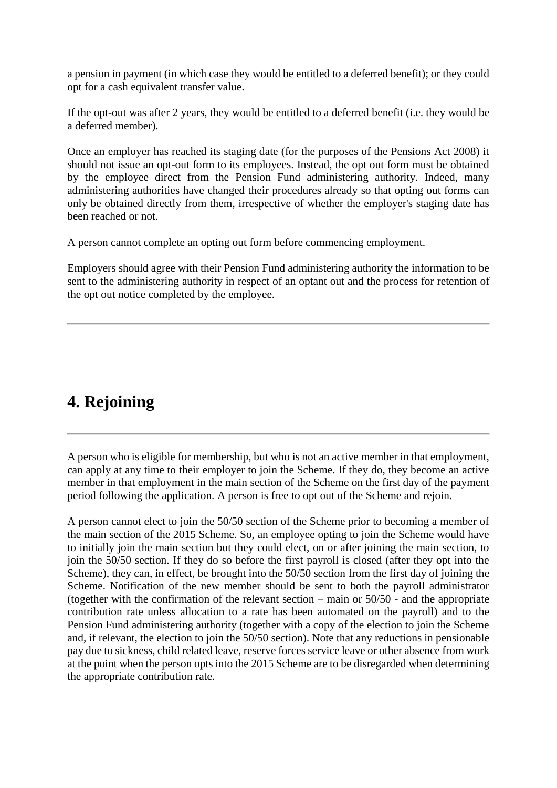a pension in payment (in which case they would be entitled to a deferred benefit); or they could opt for a cash equivalent transfer value.

If the opt-out was after 2 years, they would be entitled to a deferred benefit (i.e. they would be a deferred member).

Once an employer has reached its staging date (for the purposes of the Pensions Act 2008) it should not issue an opt-out form to its employees. Instead, the opt out form must be obtained by the employee direct from the Pension Fund administering authority. Indeed, many administering authorities have changed their procedures already so that opting out forms can only be obtained directly from them, irrespective of whether the employer's staging date has been reached or not.

A person cannot complete an opting out form before commencing employment.

Employers should agree with their Pension Fund administering authority the information to be sent to the administering authority in respect of an optant out and the process for retention of the opt out notice completed by the employee.

## **4. Rejoining**

A person who is eligible for membership, but who is not an active member in that employment, can apply at any time to their employer to join the Scheme. If they do, they become an active member in that employment in the main section of the Scheme on the first day of the payment period following the application. A person is free to opt out of the Scheme and rejoin.

A person cannot elect to join the 50/50 section of the Scheme prior to becoming a member of the main section of the 2015 Scheme. So, an employee opting to join the Scheme would have to initially join the main section but they could elect, on or after joining the main section, to join the 50/50 section. If they do so before the first payroll is closed (after they opt into the Scheme), they can, in effect, be brought into the 50/50 section from the first day of joining the Scheme. Notification of the new member should be sent to both the payroll administrator (together with the confirmation of the relevant section – main or 50/50 - and the appropriate contribution rate unless allocation to a rate has been automated on the payroll) and to the Pension Fund administering authority (together with a copy of the election to join the Scheme and, if relevant, the election to join the 50/50 section). Note that any reductions in pensionable pay due to sickness, child related leave, reserve forces service leave or other absence from work at the point when the person opts into the 2015 Scheme are to be disregarded when determining the appropriate contribution rate.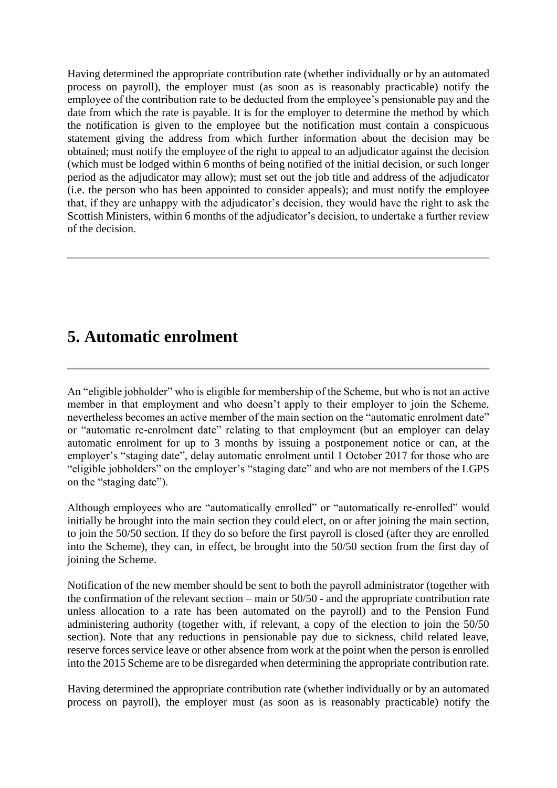Having determined the appropriate contribution rate (whether individually or by an automated process on payroll), the employer must (as soon as is reasonably practicable) notify the employee of the contribution rate to be deducted from the employee's pensionable pay and the date from which the rate is payable. It is for the employer to determine the method by which the notification is given to the employee but the notification must contain a conspicuous statement giving the address from which further information about the decision may be obtained; must notify the employee of the right to appeal to an adjudicator against the decision (which must be lodged within 6 months of being notified of the initial decision, or such longer period as the adjudicator may allow); must set out the job title and address of the adjudicator (i.e. the person who has been appointed to consider appeals); and must notify the employee that, if they are unhappy with the adjudicator's decision, they would have the right to ask the Scottish Ministers, within 6 months of the adjudicator's decision, to undertake a further review of the decision.

### **5. Automatic enrolment**

An "eligible jobholder" who is eligible for membership of the Scheme, but who is not an active member in that employment and who doesn't apply to their employer to join the Scheme, nevertheless becomes an active member of the main section on the "automatic enrolment date" or "automatic re-enrolment date" relating to that employment (but an employer can delay automatic enrolment for up to 3 months by issuing a postponement notice or can, at the employer's "staging date", delay automatic enrolment until 1 October 2017 for those who are "eligible jobholders" on the employer's "staging date" and who are not members of the LGPS on the "staging date").

Although employees who are "automatically enrolled" or "automatically re-enrolled" would initially be brought into the main section they could elect, on or after joining the main section, to join the 50/50 section. If they do so before the first payroll is closed (after they are enrolled into the Scheme), they can, in effect, be brought into the 50/50 section from the first day of joining the Scheme.

Notification of the new member should be sent to both the payroll administrator (together with the confirmation of the relevant section – main or 50/50 - and the appropriate contribution rate unless allocation to a rate has been automated on the payroll) and to the Pension Fund administering authority (together with, if relevant, a copy of the election to join the 50/50 section). Note that any reductions in pensionable pay due to sickness, child related leave, reserve forces service leave or other absence from work at the point when the person is enrolled into the 2015 Scheme are to be disregarded when determining the appropriate contribution rate.

Having determined the appropriate contribution rate (whether individually or by an automated process on payroll), the employer must (as soon as is reasonably practicable) notify the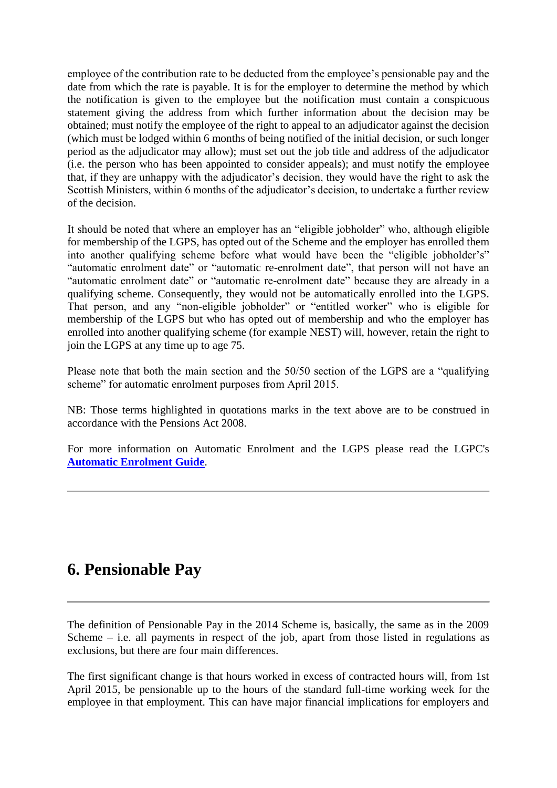employee of the contribution rate to be deducted from the employee's pensionable pay and the date from which the rate is payable. It is for the employer to determine the method by which the notification is given to the employee but the notification must contain a conspicuous statement giving the address from which further information about the decision may be obtained; must notify the employee of the right to appeal to an adjudicator against the decision (which must be lodged within 6 months of being notified of the initial decision, or such longer period as the adjudicator may allow); must set out the job title and address of the adjudicator (i.e. the person who has been appointed to consider appeals); and must notify the employee that, if they are unhappy with the adjudicator's decision, they would have the right to ask the Scottish Ministers, within 6 months of the adjudicator's decision, to undertake a further review of the decision.

It should be noted that where an employer has an "eligible jobholder" who, although eligible for membership of the LGPS, has opted out of the Scheme and the employer has enrolled them into another qualifying scheme before what would have been the "eligible jobholder's" "automatic enrolment date" or "automatic re-enrolment date", that person will not have an "automatic enrolment date" or "automatic re-enrolment date" because they are already in a qualifying scheme. Consequently, they would not be automatically enrolled into the LGPS. That person, and any "non-eligible jobholder" or "entitled worker" who is eligible for membership of the LGPS but who has opted out of membership and who the employer has enrolled into another qualifying scheme (for example NEST) will, however, retain the right to join the LGPS at any time up to age 75.

Please note that both the main section and the 50/50 section of the LGPS are a "qualifying scheme" for automatic enrolment purposes from April 2015.

NB: Those terms highlighted in quotations marks in the text above are to be construed in accordance with the Pensions Act 2008.

For more information on Automatic Enrolment and the LGPS please read the LGPC's **[Automatic Enrolment Guide](http://www.lgpsregs.org/index.php/scotland/admin-guides)**.

## **6. Pensionable Pay**

The definition of Pensionable Pay in the 2014 Scheme is, basically, the same as in the 2009 Scheme  $-$  i.e. all payments in respect of the job, apart from those listed in regulations as exclusions, but there are four main differences.

The first significant change is that hours worked in excess of contracted hours will, from 1st April 2015, be pensionable up to the hours of the standard full-time working week for the employee in that employment. This can have major financial implications for employers and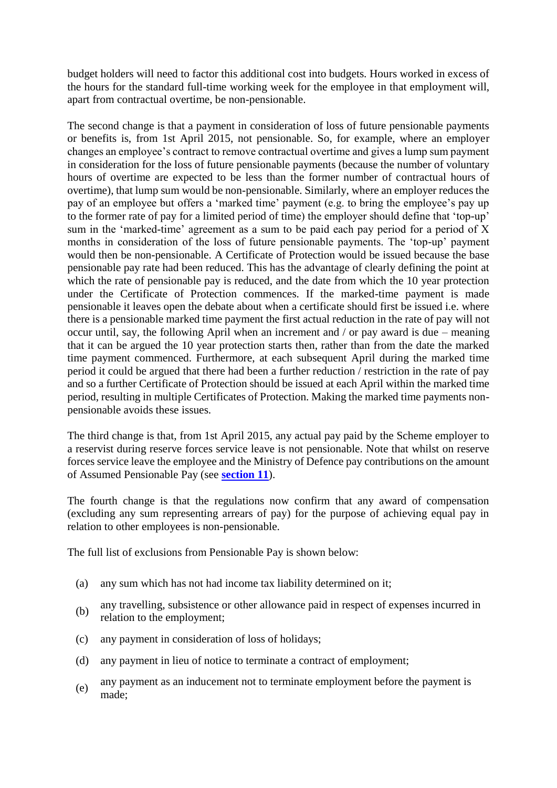budget holders will need to factor this additional cost into budgets. Hours worked in excess of the hours for the standard full-time working week for the employee in that employment will, apart from contractual overtime, be non-pensionable.

The second change is that a payment in consideration of loss of future pensionable payments or benefits is, from 1st April 2015, not pensionable. So, for example, where an employer changes an employee's contract to remove contractual overtime and gives a lump sum payment in consideration for the loss of future pensionable payments (because the number of voluntary hours of overtime are expected to be less than the former number of contractual hours of overtime), that lump sum would be non-pensionable. Similarly, where an employer reduces the pay of an employee but offers a 'marked time' payment (e.g. to bring the employee's pay up to the former rate of pay for a limited period of time) the employer should define that 'top-up' sum in the 'marked-time' agreement as a sum to be paid each pay period for a period of X months in consideration of the loss of future pensionable payments. The 'top-up' payment would then be non-pensionable. A Certificate of Protection would be issued because the base pensionable pay rate had been reduced. This has the advantage of clearly defining the point at which the rate of pensionable pay is reduced, and the date from which the 10 year protection under the Certificate of Protection commences. If the marked-time payment is made pensionable it leaves open the debate about when a certificate should first be issued i.e. where there is a pensionable marked time payment the first actual reduction in the rate of pay will not occur until, say, the following April when an increment and / or pay award is due – meaning that it can be argued the 10 year protection starts then, rather than from the date the marked time payment commenced. Furthermore, at each subsequent April during the marked time period it could be argued that there had been a further reduction / restriction in the rate of pay and so a further Certificate of Protection should be issued at each April within the marked time period, resulting in multiple Certificates of Protection. Making the marked time payments nonpensionable avoids these issues.

The third change is that, from 1st April 2015, any actual pay paid by the Scheme employer to a reservist during reserve forces service leave is not pensionable. Note that whilst on reserve forces service leave the employee and the Ministry of Defence pay contributions on the amount of Assumed Pensionable Pay (see **[section 11](http://www.lgpsregs.org/index.php/scotland/scot-hr-payroll-guides/lgps2015-hr-guide?showall=&start=13)**).

The fourth change is that the regulations now confirm that any award of compensation (excluding any sum representing arrears of pay) for the purpose of achieving equal pay in relation to other employees is non-pensionable.

The full list of exclusions from Pensionable Pay is shown below:

- (a) any sum which has not had income tax liability determined on it;
- (b) any travelling, subsistence or other allowance paid in respect of expenses incurred in relation to the employment;
- (c) any payment in consideration of loss of holidays;
- (d) any payment in lieu of notice to terminate a contract of employment;
- (e) any payment as an inducement not to terminate employment before the payment is made;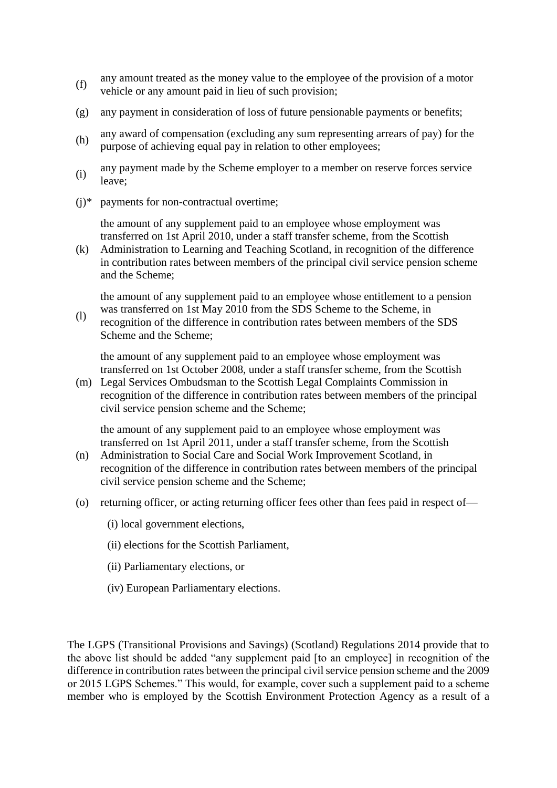- (f) any amount treated as the money value to the employee of the provision of a motor vehicle or any amount paid in lieu of such provision;
- (g) any payment in consideration of loss of future pensionable payments or benefits;
- (h) any award of compensation (excluding any sum representing arrears of pay) for the purpose of achieving equal pay in relation to other employees;
- (i) any payment made by the Scheme employer to a member on reserve forces service leave;
- $(i)*$  payments for non-contractual overtime;

the amount of any supplement paid to an employee whose employment was transferred on 1st April 2010, under a staff transfer scheme, from the Scottish

(k) Administration to Learning and Teaching Scotland, in recognition of the difference in contribution rates between members of the principal civil service pension scheme and the Scheme;

the amount of any supplement paid to an employee whose entitlement to a pension was transferred on 1st May 2010 from the SDS Scheme to the Scheme, in

(l) recognition of the difference in contribution rates between members of the SDS Scheme and the Scheme;

the amount of any supplement paid to an employee whose employment was transferred on 1st October 2008, under a staff transfer scheme, from the Scottish

(m) Legal Services Ombudsman to the Scottish Legal Complaints Commission in recognition of the difference in contribution rates between members of the principal civil service pension scheme and the Scheme;

the amount of any supplement paid to an employee whose employment was transferred on 1st April 2011, under a staff transfer scheme, from the Scottish

- (n) Administration to Social Care and Social Work Improvement Scotland, in recognition of the difference in contribution rates between members of the principal civil service pension scheme and the Scheme;
- (o) returning officer, or acting returning officer fees other than fees paid in respect of—
	- (i) local government elections,
	- (ii) elections for the Scottish Parliament,
	- (ii) Parliamentary elections, or
	- (iv) European Parliamentary elections.

The LGPS (Transitional Provisions and Savings) (Scotland) Regulations 2014 provide that to the above list should be added "any supplement paid [to an employee] in recognition of the difference in contribution rates between the principal civil service pension scheme and the 2009 or 2015 LGPS Schemes." This would, for example, cover such a supplement paid to a scheme member who is employed by the Scottish Environment Protection Agency as a result of a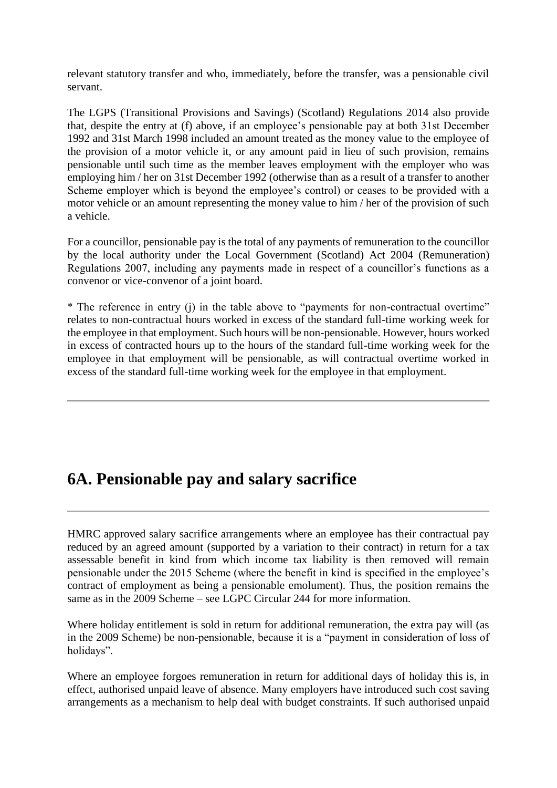relevant statutory transfer and who, immediately, before the transfer, was a pensionable civil servant.

The LGPS (Transitional Provisions and Savings) (Scotland) Regulations 2014 also provide that, despite the entry at (f) above, if an employee's pensionable pay at both 31st December 1992 and 31st March 1998 included an amount treated as the money value to the employee of the provision of a motor vehicle it, or any amount paid in lieu of such provision, remains pensionable until such time as the member leaves employment with the employer who was employing him / her on 31st December 1992 (otherwise than as a result of a transfer to another Scheme employer which is beyond the employee's control) or ceases to be provided with a motor vehicle or an amount representing the money value to him / her of the provision of such a vehicle.

For a councillor, pensionable pay is the total of any payments of remuneration to the councillor by the local authority under the Local Government (Scotland) Act 2004 (Remuneration) Regulations 2007, including any payments made in respect of a councillor's functions as a convenor or vice-convenor of a joint board.

\* The reference in entry (j) in the table above to "payments for non-contractual overtime" relates to non-contractual hours worked in excess of the standard full-time working week for the employee in that employment. Such hours will be non-pensionable. However, hours worked in excess of contracted hours up to the hours of the standard full-time working week for the employee in that employment will be pensionable, as will contractual overtime worked in excess of the standard full-time working week for the employee in that employment.

## **6A. Pensionable pay and salary sacrifice**

HMRC approved salary sacrifice arrangements where an employee has their contractual pay reduced by an agreed amount (supported by a variation to their contract) in return for a tax assessable benefit in kind from which income tax liability is then removed will remain pensionable under the 2015 Scheme (where the benefit in kind is specified in the employee's contract of employment as being a pensionable emolument). Thus, the position remains the same as in the 2009 Scheme – see LGPC Circular 244 for more information.

Where holiday entitlement is sold in return for additional remuneration, the extra pay will (as in the 2009 Scheme) be non-pensionable, because it is a "payment in consideration of loss of holidays".

Where an employee forgoes remuneration in return for additional days of holiday this is, in effect, authorised unpaid leave of absence. Many employers have introduced such cost saving arrangements as a mechanism to help deal with budget constraints. If such authorised unpaid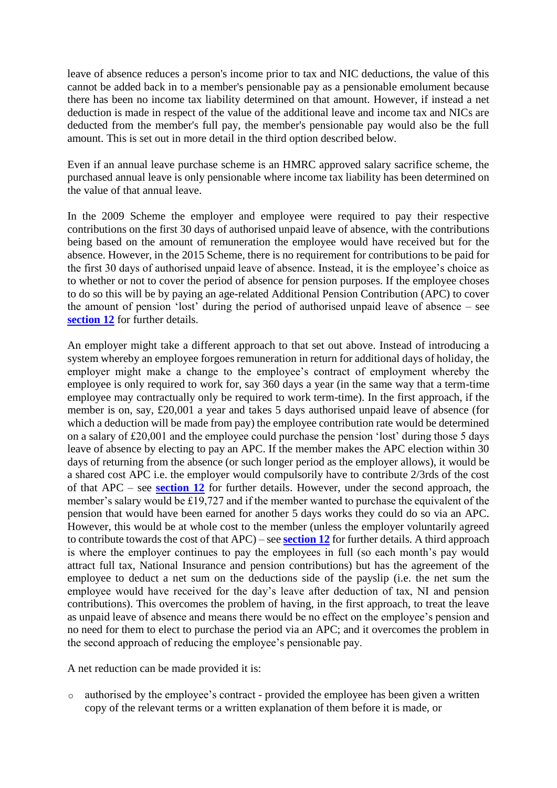leave of absence reduces a person's income prior to tax and NIC deductions, the value of this cannot be added back in to a member's pensionable pay as a pensionable emolument because there has been no income tax liability determined on that amount. However, if instead a net deduction is made in respect of the value of the additional leave and income tax and NICs are deducted from the member's full pay, the member's pensionable pay would also be the full amount. This is set out in more detail in the third option described below.

Even if an annual leave purchase scheme is an HMRC approved salary sacrifice scheme, the purchased annual leave is only pensionable where income tax liability has been determined on the value of that annual leave.

In the 2009 Scheme the employer and employee were required to pay their respective contributions on the first 30 days of authorised unpaid leave of absence, with the contributions being based on the amount of remuneration the employee would have received but for the absence. However, in the 2015 Scheme, there is no requirement for contributions to be paid for the first 30 days of authorised unpaid leave of absence. Instead, it is the employee's choice as to whether or not to cover the period of absence for pension purposes. If the employee choses to do so this will be by paying an age-related Additional Pension Contribution (APC) to cover the amount of pension 'lost' during the period of authorised unpaid leave of absence – see **[section 12](http://www.lgpsregs.org/index.php/scotland/scot-hr-payroll-guides/lgps2015-hr-guide?showall=&start=15)** for further details.

An employer might take a different approach to that set out above. Instead of introducing a system whereby an employee forgoes remuneration in return for additional days of holiday, the employer might make a change to the employee's contract of employment whereby the employee is only required to work for, say 360 days a year (in the same way that a term-time employee may contractually only be required to work term-time). In the first approach, if the member is on, say, £20,001 a year and takes 5 days authorised unpaid leave of absence (for which a deduction will be made from pay) the employee contribution rate would be determined on a salary of £20,001 and the employee could purchase the pension 'lost' during those 5 days leave of absence by electing to pay an APC. If the member makes the APC election within 30 days of returning from the absence (or such longer period as the employer allows), it would be a shared cost APC i.e. the employer would compulsorily have to contribute 2/3rds of the cost of that APC – see **[section 12](http://www.lgpsregs.org/index.php/scotland/scot-hr-payroll-guides/lgps2015-hr-guide?showall=&start=15)** for further details. However, under the second approach, the member's salary would be £19,727 and if the member wanted to purchase the equivalent of the pension that would have been earned for another 5 days works they could do so via an APC. However, this would be at whole cost to the member (unless the employer voluntarily agreed to contribute towards the cost of that APC) – see **[section 12](http://www.lgpsregs.org/index.php/scotland/scot-hr-payroll-guides/lgps2015-hr-guide?showall=&start=15)** for further details. A third approach is where the employer continues to pay the employees in full (so each month's pay would attract full tax, National Insurance and pension contributions) but has the agreement of the employee to deduct a net sum on the deductions side of the payslip (i.e. the net sum the employee would have received for the day's leave after deduction of tax, NI and pension contributions). This overcomes the problem of having, in the first approach, to treat the leave as unpaid leave of absence and means there would be no effect on the employee's pension and no need for them to elect to purchase the period via an APC; and it overcomes the problem in the second approach of reducing the employee's pensionable pay.

A net reduction can be made provided it is:

o authorised by the employee's contract - provided the employee has been given a written copy of the relevant terms or a written explanation of them before it is made, or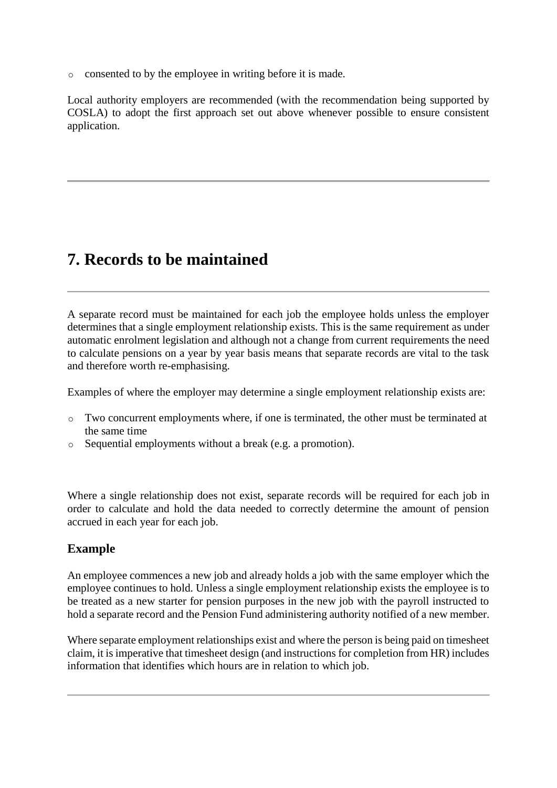o consented to by the employee in writing before it is made.

Local authority employers are recommended (with the recommendation being supported by COSLA) to adopt the first approach set out above whenever possible to ensure consistent application.

## **7. Records to be maintained**

A separate record must be maintained for each job the employee holds unless the employer determines that a single employment relationship exists. This is the same requirement as under automatic enrolment legislation and although not a change from current requirements the need to calculate pensions on a year by year basis means that separate records are vital to the task and therefore worth re-emphasising.

Examples of where the employer may determine a single employment relationship exists are:

- $\circ$  Two concurrent employments where, if one is terminated, the other must be terminated at the same time
- o Sequential employments without a break (e.g. a promotion).

Where a single relationship does not exist, separate records will be required for each job in order to calculate and hold the data needed to correctly determine the amount of pension accrued in each year for each job.

### **Example**

An employee commences a new job and already holds a job with the same employer which the employee continues to hold. Unless a single employment relationship exists the employee is to be treated as a new starter for pension purposes in the new job with the payroll instructed to hold a separate record and the Pension Fund administering authority notified of a new member.

Where separate employment relationships exist and where the person is being paid on timesheet claim, it is imperative that timesheet design (and instructions for completion from HR) includes information that identifies which hours are in relation to which job.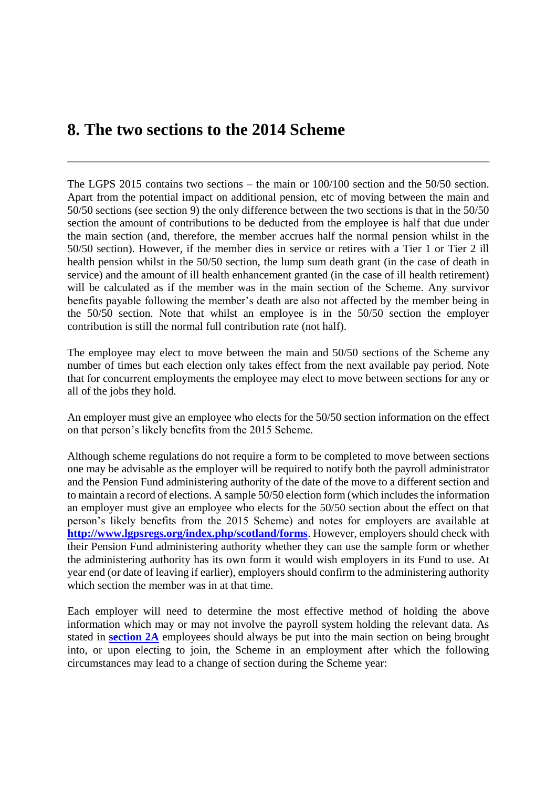### **8. The two sections to the 2014 Scheme**

The LGPS 2015 contains two sections – the main or 100/100 section and the 50/50 section. Apart from the potential impact on additional pension, etc of moving between the main and 50/50 sections (see section 9) the only difference between the two sections is that in the 50/50 section the amount of contributions to be deducted from the employee is half that due under the main section (and, therefore, the member accrues half the normal pension whilst in the 50/50 section). However, if the member dies in service or retires with a Tier 1 or Tier 2 ill health pension whilst in the 50/50 section, the lump sum death grant (in the case of death in service) and the amount of ill health enhancement granted (in the case of ill health retirement) will be calculated as if the member was in the main section of the Scheme. Any survivor benefits payable following the member's death are also not affected by the member being in the 50/50 section. Note that whilst an employee is in the 50/50 section the employer contribution is still the normal full contribution rate (not half).

The employee may elect to move between the main and 50/50 sections of the Scheme any number of times but each election only takes effect from the next available pay period. Note that for concurrent employments the employee may elect to move between sections for any or all of the jobs they hold.

An employer must give an employee who elects for the 50/50 section information on the effect on that person's likely benefits from the 2015 Scheme.

Although scheme regulations do not require a form to be completed to move between sections one may be advisable as the employer will be required to notify both the payroll administrator and the Pension Fund administering authority of the date of the move to a different section and to maintain a record of elections. A sample 50/50 election form (which includes the information an employer must give an employee who elects for the 50/50 section about the effect on that person's likely benefits from the 2015 Scheme) and notes for employers are available at **<http://www.lgpsregs.org/index.php/scotland/forms>**. However, employers should check with their Pension Fund administering authority whether they can use the sample form or whether the administering authority has its own form it would wish employers in its Fund to use. At year end (or date of leaving if earlier), employers should confirm to the administering authority which section the member was in at that time.

Each employer will need to determine the most effective method of holding the above information which may or may not involve the payroll system holding the relevant data. As stated in **[section 2A](http://www.lgpsregs.org/index.php/scotland/scot-hr-payroll-guides/lgps2015-hr-guide?showall=&start=2)** employees should always be put into the main section on being brought into, or upon electing to join, the Scheme in an employment after which the following circumstances may lead to a change of section during the Scheme year: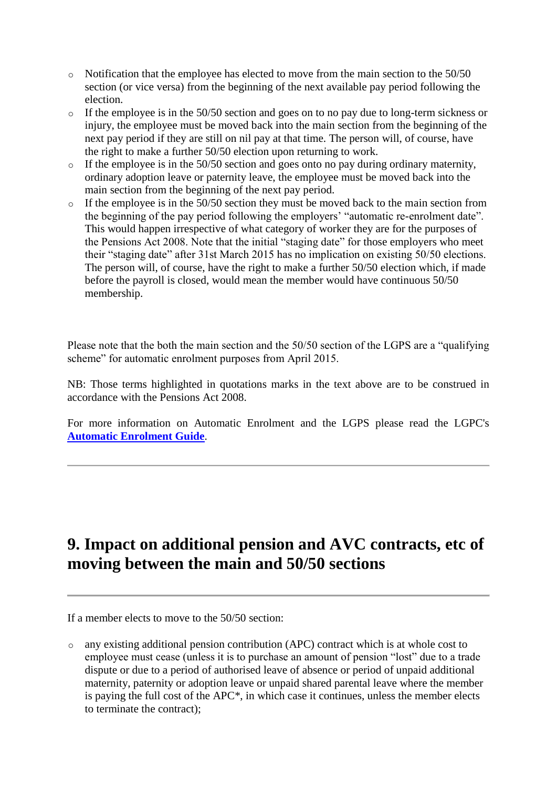- o Notification that the employee has elected to move from the main section to the 50/50 section (or vice versa) from the beginning of the next available pay period following the election.
- o If the employee is in the 50/50 section and goes on to no pay due to long-term sickness or injury, the employee must be moved back into the main section from the beginning of the next pay period if they are still on nil pay at that time. The person will, of course, have the right to make a further 50/50 election upon returning to work.
- o If the employee is in the 50/50 section and goes onto no pay during ordinary maternity, ordinary adoption leave or paternity leave, the employee must be moved back into the main section from the beginning of the next pay period.
- o If the employee is in the 50/50 section they must be moved back to the main section from the beginning of the pay period following the employers' "automatic re-enrolment date". This would happen irrespective of what category of worker they are for the purposes of the Pensions Act 2008. Note that the initial "staging date" for those employers who meet their "staging date" after 31st March 2015 has no implication on existing 50/50 elections. The person will, of course, have the right to make a further 50/50 election which, if made before the payroll is closed, would mean the member would have continuous 50/50 membership.

Please note that the both the main section and the 50/50 section of the LGPS are a "qualifying scheme" for automatic enrolment purposes from April 2015.

NB: Those terms highlighted in quotations marks in the text above are to be construed in accordance with the Pensions Act 2008.

For more information on Automatic Enrolment and the LGPS please read the LGPC's **[Automatic Enrolment Guide](http://www.lgpsregs.org/index.php/scotland/admin-guides)**.

## **9. Impact on additional pension and AVC contracts, etc of moving between the main and 50/50 sections**

If a member elects to move to the 50/50 section:

o any existing additional pension contribution (APC) contract which is at whole cost to employee must cease (unless it is to purchase an amount of pension "lost" due to a trade dispute or due to a period of authorised leave of absence or period of unpaid additional maternity, paternity or adoption leave or unpaid shared parental leave where the member is paying the full cost of the APC\*, in which case it continues, unless the member elects to terminate the contract);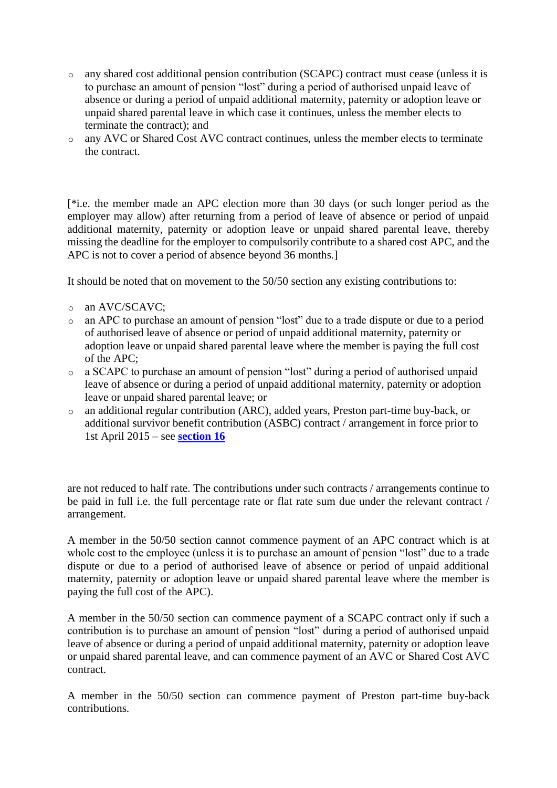- o any shared cost additional pension contribution (SCAPC) contract must cease (unless it is to purchase an amount of pension "lost" during a period of authorised unpaid leave of absence or during a period of unpaid additional maternity, paternity or adoption leave or unpaid shared parental leave in which case it continues, unless the member elects to terminate the contract); and
- o any AVC or Shared Cost AVC contract continues, unless the member elects to terminate the contract.

[\*i.e. the member made an APC election more than 30 days (or such longer period as the employer may allow) after returning from a period of leave of absence or period of unpaid additional maternity, paternity or adoption leave or unpaid shared parental leave, thereby missing the deadline for the employer to compulsorily contribute to a shared cost APC, and the APC is not to cover a period of absence beyond 36 months.]

It should be noted that on movement to the 50/50 section any existing contributions to:

- o an AVC/SCAVC:
- o an APC to purchase an amount of pension "lost" due to a trade dispute or due to a period of authorised leave of absence or period of unpaid additional maternity, paternity or adoption leave or unpaid shared parental leave where the member is paying the full cost of the APC;
- o a SCAPC to purchase an amount of pension "lost" during a period of authorised unpaid leave of absence or during a period of unpaid additional maternity, paternity or adoption leave or unpaid shared parental leave; or
- o an additional regular contribution (ARC), added years, Preston part-time buy-back, or additional survivor benefit contribution (ASBC) contract / arrangement in force prior to 1st April 2015 – see **[section 16](http://www.lgpsregs.org/index.php/scotland/scot-hr-payroll-guides/lgps2015-hr-guide?showall=&start=19)**

are not reduced to half rate. The contributions under such contracts / arrangements continue to be paid in full i.e. the full percentage rate or flat rate sum due under the relevant contract / arrangement.

A member in the 50/50 section cannot commence payment of an APC contract which is at whole cost to the employee (unless it is to purchase an amount of pension "lost" due to a trade dispute or due to a period of authorised leave of absence or period of unpaid additional maternity, paternity or adoption leave or unpaid shared parental leave where the member is paying the full cost of the APC).

A member in the 50/50 section can commence payment of a SCAPC contract only if such a contribution is to purchase an amount of pension "lost" during a period of authorised unpaid leave of absence or during a period of unpaid additional maternity, paternity or adoption leave or unpaid shared parental leave, and can commence payment of an AVC or Shared Cost AVC contract.

A member in the 50/50 section can commence payment of Preston part-time buy-back contributions.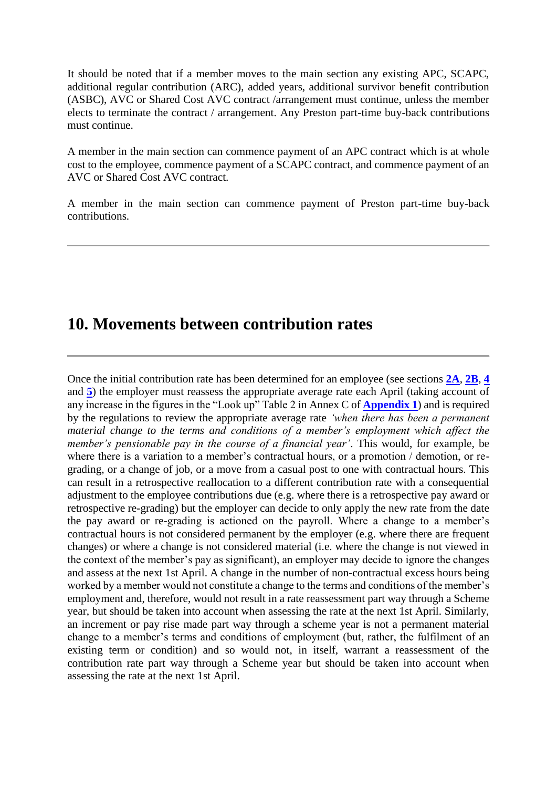It should be noted that if a member moves to the main section any existing APC, SCAPC, additional regular contribution (ARC), added years, additional survivor benefit contribution (ASBC), AVC or Shared Cost AVC contract /arrangement must continue, unless the member elects to terminate the contract / arrangement. Any Preston part-time buy-back contributions must continue.

A member in the main section can commence payment of an APC contract which is at whole cost to the employee, commence payment of a SCAPC contract, and commence payment of an AVC or Shared Cost AVC contract.

A member in the main section can commence payment of Preston part-time buy-back contributions.

### **10. Movements between contribution rates**

Once the initial contribution rate has been determined for an employee (see sections **[2A](http://www.lgpsregs.org/index.php/scotland/scot-hr-payroll-guides/lgps2015-hr-guide?showall=&start=2)**, **[2B](http://www.lgpsregs.org/index.php/scotland/scot-hr-payroll-guides/lgps2015-hr-guide?showall=&start=3)**, **[4](http://www.lgpsregs.org/index.php/scotland/scot-hr-payroll-guides/lgps2015-hr-guide?showall=&start=5)** and **[5](http://www.lgpsregs.org/index.php/scotland/scot-hr-payroll-guides/lgps2015-hr-guide?showall=&start=6)**) the employer must reassess the appropriate average rate each April (taking account of any increase in the figures in the "Look up" Table 2 in Annex C of **[Appendix 1](http://www.lgpsregs.org/images/2015HRPayroll/Appendix1v1.3.pdf)**) and is required by the regulations to review the appropriate average rate *'when there has been a permanent material change to the terms and conditions of a member's employment which affect the member's pensionable pay in the course of a financial year'*. This would, for example, be where there is a variation to a member's contractual hours, or a promotion / demotion, or regrading, or a change of job, or a move from a casual post to one with contractual hours. This can result in a retrospective reallocation to a different contribution rate with a consequential adjustment to the employee contributions due (e.g. where there is a retrospective pay award or retrospective re-grading) but the employer can decide to only apply the new rate from the date the pay award or re-grading is actioned on the payroll. Where a change to a member's contractual hours is not considered permanent by the employer (e.g. where there are frequent changes) or where a change is not considered material (i.e. where the change is not viewed in the context of the member's pay as significant), an employer may decide to ignore the changes and assess at the next 1st April. A change in the number of non-contractual excess hours being worked by a member would not constitute a change to the terms and conditions of the member's employment and, therefore, would not result in a rate reassessment part way through a Scheme year, but should be taken into account when assessing the rate at the next 1st April. Similarly, an increment or pay rise made part way through a scheme year is not a permanent material change to a member's terms and conditions of employment (but, rather, the fulfilment of an existing term or condition) and so would not, in itself, warrant a reassessment of the contribution rate part way through a Scheme year but should be taken into account when assessing the rate at the next 1st April.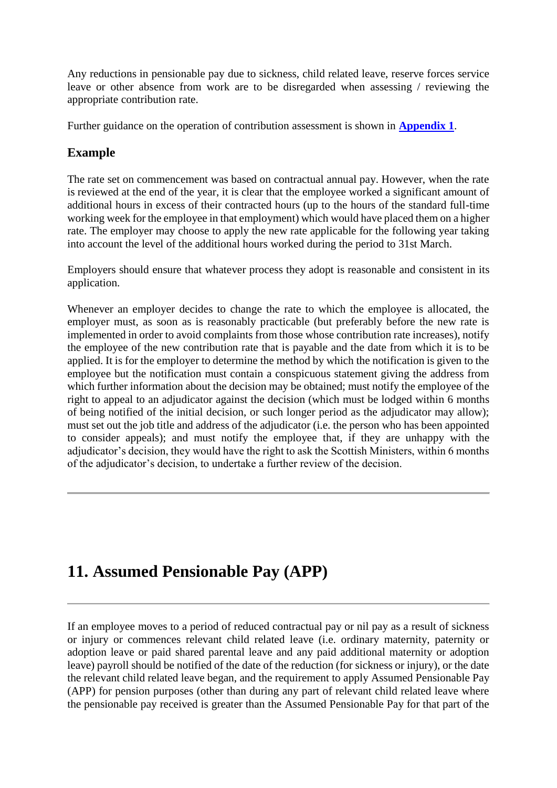Any reductions in pensionable pay due to sickness, child related leave, reserve forces service leave or other absence from work are to be disregarded when assessing / reviewing the appropriate contribution rate.

Further guidance on the operation of contribution assessment is shown in **[Appendix 1](http://www.lgpsregs.org/images/2015HRPayroll/Appendix1v1.3.pdf)**.

### **Example**

The rate set on commencement was based on contractual annual pay. However, when the rate is reviewed at the end of the year, it is clear that the employee worked a significant amount of additional hours in excess of their contracted hours (up to the hours of the standard full-time working week for the employee in that employment) which would have placed them on a higher rate. The employer may choose to apply the new rate applicable for the following year taking into account the level of the additional hours worked during the period to 31st March.

Employers should ensure that whatever process they adopt is reasonable and consistent in its application.

Whenever an employer decides to change the rate to which the employee is allocated, the employer must, as soon as is reasonably practicable (but preferably before the new rate is implemented in order to avoid complaints from those whose contribution rate increases), notify the employee of the new contribution rate that is payable and the date from which it is to be applied. It is for the employer to determine the method by which the notification is given to the employee but the notification must contain a conspicuous statement giving the address from which further information about the decision may be obtained; must notify the employee of the right to appeal to an adjudicator against the decision (which must be lodged within 6 months of being notified of the initial decision, or such longer period as the adjudicator may allow); must set out the job title and address of the adjudicator (i.e. the person who has been appointed to consider appeals); and must notify the employee that, if they are unhappy with the adjudicator's decision, they would have the right to ask the Scottish Ministers, within 6 months of the adjudicator's decision, to undertake a further review of the decision.

## **11. Assumed Pensionable Pay (APP)**

If an employee moves to a period of reduced contractual pay or nil pay as a result of sickness or injury or commences relevant child related leave (i.e. ordinary maternity, paternity or adoption leave or paid shared parental leave and any paid additional maternity or adoption leave) payroll should be notified of the date of the reduction (for sickness or injury), or the date the relevant child related leave began, and the requirement to apply Assumed Pensionable Pay (APP) for pension purposes (other than during any part of relevant child related leave where the pensionable pay received is greater than the Assumed Pensionable Pay for that part of the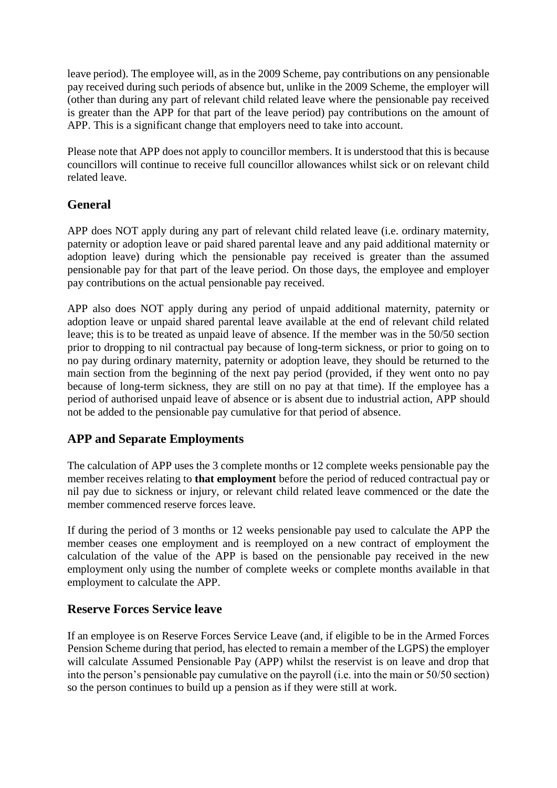leave period). The employee will, as in the 2009 Scheme, pay contributions on any pensionable pay received during such periods of absence but, unlike in the 2009 Scheme, the employer will (other than during any part of relevant child related leave where the pensionable pay received is greater than the APP for that part of the leave period) pay contributions on the amount of APP. This is a significant change that employers need to take into account.

Please note that APP does not apply to councillor members. It is understood that this is because councillors will continue to receive full councillor allowances whilst sick or on relevant child related leave.

### **General**

APP does NOT apply during any part of relevant child related leave (i.e. ordinary maternity, paternity or adoption leave or paid shared parental leave and any paid additional maternity or adoption leave) during which the pensionable pay received is greater than the assumed pensionable pay for that part of the leave period. On those days, the employee and employer pay contributions on the actual pensionable pay received.

APP also does NOT apply during any period of unpaid additional maternity, paternity or adoption leave or unpaid shared parental leave available at the end of relevant child related leave; this is to be treated as unpaid leave of absence. If the member was in the 50/50 section prior to dropping to nil contractual pay because of long-term sickness, or prior to going on to no pay during ordinary maternity, paternity or adoption leave, they should be returned to the main section from the beginning of the next pay period (provided, if they went onto no pay because of long-term sickness, they are still on no pay at that time). If the employee has a period of authorised unpaid leave of absence or is absent due to industrial action, APP should not be added to the pensionable pay cumulative for that period of absence.

### **APP and Separate Employments**

The calculation of APP uses the 3 complete months or 12 complete weeks pensionable pay the member receives relating to **that employment** before the period of reduced contractual pay or nil pay due to sickness or injury, or relevant child related leave commenced or the date the member commenced reserve forces leave.

If during the period of 3 months or 12 weeks pensionable pay used to calculate the APP the member ceases one employment and is reemployed on a new contract of employment the calculation of the value of the APP is based on the pensionable pay received in the new employment only using the number of complete weeks or complete months available in that employment to calculate the APP.

### **Reserve Forces Service leave**

If an employee is on Reserve Forces Service Leave (and, if eligible to be in the Armed Forces Pension Scheme during that period, has elected to remain a member of the LGPS) the employer will calculate Assumed Pensionable Pay (APP) whilst the reservist is on leave and drop that into the person's pensionable pay cumulative on the payroll (i.e. into the main or 50/50 section) so the person continues to build up a pension as if they were still at work.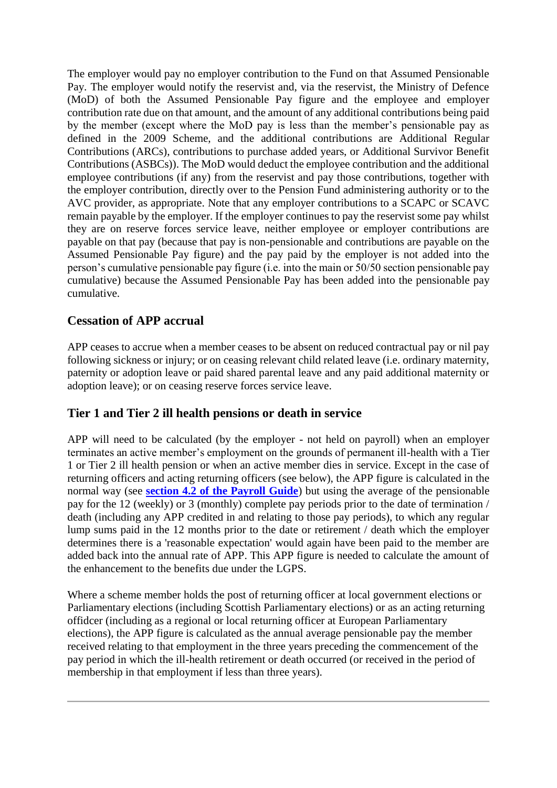The employer would pay no employer contribution to the Fund on that Assumed Pensionable Pay. The employer would notify the reservist and, via the reservist, the Ministry of Defence (MoD) of both the Assumed Pensionable Pay figure and the employee and employer contribution rate due on that amount, and the amount of any additional contributions being paid by the member (except where the MoD pay is less than the member's pensionable pay as defined in the 2009 Scheme, and the additional contributions are Additional Regular Contributions (ARCs), contributions to purchase added years, or Additional Survivor Benefit Contributions (ASBCs)). The MoD would deduct the employee contribution and the additional employee contributions (if any) from the reservist and pay those contributions, together with the employer contribution, directly over to the Pension Fund administering authority or to the AVC provider, as appropriate. Note that any employer contributions to a SCAPC or SCAVC remain payable by the employer. If the employer continues to pay the reservist some pay whilst they are on reserve forces service leave, neither employee or employer contributions are payable on that pay (because that pay is non-pensionable and contributions are payable on the Assumed Pensionable Pay figure) and the pay paid by the employer is not added into the person's cumulative pensionable pay figure (i.e. into the main or 50/50 section pensionable pay cumulative) because the Assumed Pensionable Pay has been added into the pensionable pay cumulative.

### **Cessation of APP accrual**

APP ceases to accrue when a member ceases to be absent on reduced contractual pay or nil pay following sickness or injury; or on ceasing relevant child related leave (i.e. ordinary maternity, paternity or adoption leave or paid shared parental leave and any paid additional maternity or adoption leave); or on ceasing reserve forces service leave.

### **Tier 1 and Tier 2 ill health pensions or death in service**

APP will need to be calculated (by the employer - not held on payroll) when an employer terminates an active member's employment on the grounds of permanent ill-health with a Tier 1 or Tier 2 ill health pension or when an active member dies in service. Except in the case of returning officers and acting returning officers (see below), the APP figure is calculated in the normal way (see **[section 4.2 of the Payroll Guide](http://www.lgpsregs.org/index.php/scotland/scot-hr-payroll-guides/lgps2015-payroll-guide?showall=&start=6)**) but using the average of the pensionable pay for the 12 (weekly) or 3 (monthly) complete pay periods prior to the date of termination / death (including any APP credited in and relating to those pay periods), to which any regular lump sums paid in the 12 months prior to the date or retirement / death which the employer determines there is a 'reasonable expectation' would again have been paid to the member are added back into the annual rate of APP. This APP figure is needed to calculate the amount of the enhancement to the benefits due under the LGPS.

Where a scheme member holds the post of returning officer at local government elections or Parliamentary elections (including Scottish Parliamentary elections) or as an acting returning offidcer (including as a regional or local returning officer at European Parliamentary elections), the APP figure is calculated as the annual average pensionable pay the member received relating to that employment in the three years preceding the commencement of the pay period in which the ill-health retirement or death occurred (or received in the period of membership in that employment if less than three years).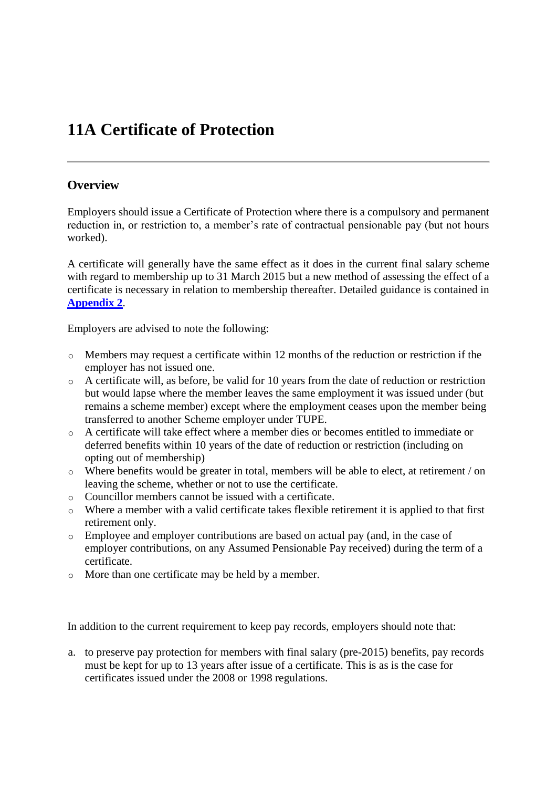## **11A Certificate of Protection**

#### **Overview**

Employers should issue a Certificate of Protection where there is a compulsory and permanent reduction in, or restriction to, a member's rate of contractual pensionable pay (but not hours worked).

A certificate will generally have the same effect as it does in the current final salary scheme with regard to membership up to 31 March 2015 but a new method of assessing the effect of a certificate is necessary in relation to membership thereafter. Detailed guidance is contained in **[Appendix 2](http://www.lgpsregs.org/images/2015HRPayroll/HRAppendix2v2.0clean.pdf)**.

Employers are advised to note the following:

- o Members may request a certificate within 12 months of the reduction or restriction if the employer has not issued one.
- o A certificate will, as before, be valid for 10 years from the date of reduction or restriction but would lapse where the member leaves the same employment it was issued under (but remains a scheme member) except where the employment ceases upon the member being transferred to another Scheme employer under TUPE.
- o A certificate will take effect where a member dies or becomes entitled to immediate or deferred benefits within 10 years of the date of reduction or restriction (including on opting out of membership)
- o Where benefits would be greater in total, members will be able to elect, at retirement / on leaving the scheme, whether or not to use the certificate.
- o Councillor members cannot be issued with a certificate.
- o Where a member with a valid certificate takes flexible retirement it is applied to that first retirement only.
- o Employee and employer contributions are based on actual pay (and, in the case of employer contributions, on any Assumed Pensionable Pay received) during the term of a certificate.
- o More than one certificate may be held by a member.

In addition to the current requirement to keep pay records, employers should note that:

a. to preserve pay protection for members with final salary (pre-2015) benefits, pay records must be kept for up to 13 years after issue of a certificate. This is as is the case for certificates issued under the 2008 or 1998 regulations.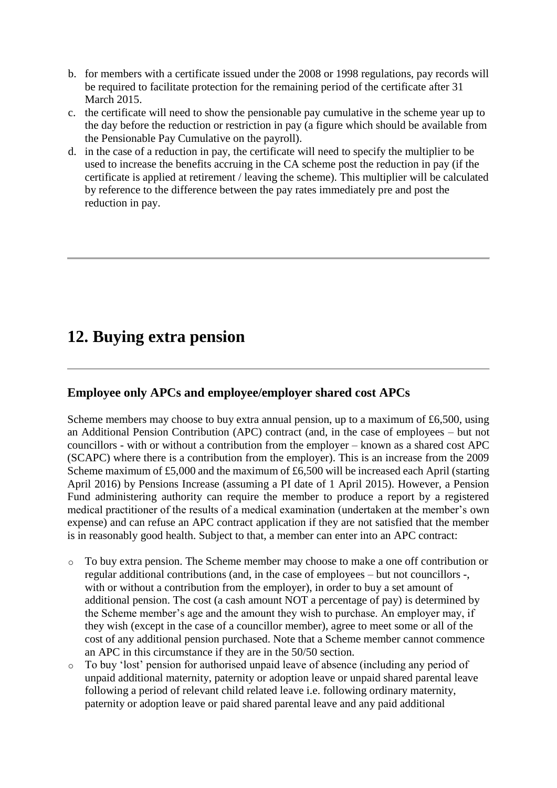- b. for members with a certificate issued under the 2008 or 1998 regulations, pay records will be required to facilitate protection for the remaining period of the certificate after 31 March 2015.
- c. the certificate will need to show the pensionable pay cumulative in the scheme year up to the day before the reduction or restriction in pay (a figure which should be available from the Pensionable Pay Cumulative on the payroll).
- d. in the case of a reduction in pay, the certificate will need to specify the multiplier to be used to increase the benefits accruing in the CA scheme post the reduction in pay (if the certificate is applied at retirement / leaving the scheme). This multiplier will be calculated by reference to the difference between the pay rates immediately pre and post the reduction in pay.

## **12. Buying extra pension**

### **Employee only APCs and employee/employer shared cost APCs**

Scheme members may choose to buy extra annual pension, up to a maximum of £6,500, using an Additional Pension Contribution (APC) contract (and, in the case of employees – but not councillors - with or without a contribution from the employer – known as a shared cost APC (SCAPC) where there is a contribution from the employer). This is an increase from the 2009 Scheme maximum of £5,000 and the maximum of £6,500 will be increased each April (starting April 2016) by Pensions Increase (assuming a PI date of 1 April 2015). However, a Pension Fund administering authority can require the member to produce a report by a registered medical practitioner of the results of a medical examination (undertaken at the member's own expense) and can refuse an APC contract application if they are not satisfied that the member is in reasonably good health. Subject to that, a member can enter into an APC contract:

- $\circ$  To buy extra pension. The Scheme member may choose to make a one off contribution or regular additional contributions (and, in the case of employees – but not councillors -, with or without a contribution from the employer), in order to buy a set amount of additional pension. The cost (a cash amount NOT a percentage of pay) is determined by the Scheme member's age and the amount they wish to purchase. An employer may, if they wish (except in the case of a councillor member), agree to meet some or all of the cost of any additional pension purchased. Note that a Scheme member cannot commence an APC in this circumstance if they are in the 50/50 section.
- o To buy 'lost' pension for authorised unpaid leave of absence (including any period of unpaid additional maternity, paternity or adoption leave or unpaid shared parental leave following a period of relevant child related leave i.e. following ordinary maternity, paternity or adoption leave or paid shared parental leave and any paid additional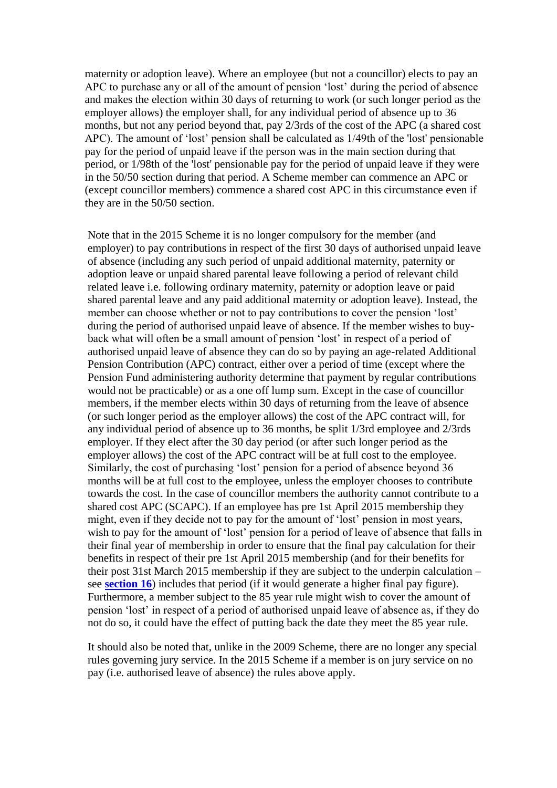maternity or adoption leave). Where an employee (but not a councillor) elects to pay an APC to purchase any or all of the amount of pension 'lost' during the period of absence and makes the election within 30 days of returning to work (or such longer period as the employer allows) the employer shall, for any individual period of absence up to 36 months, but not any period beyond that, pay 2/3rds of the cost of the APC (a shared cost APC). The amount of 'lost' pension shall be calculated as 1/49th of the 'lost' pensionable pay for the period of unpaid leave if the person was in the main section during that period, or 1/98th of the 'lost' pensionable pay for the period of unpaid leave if they were in the 50/50 section during that period. A Scheme member can commence an APC or (except councillor members) commence a shared cost APC in this circumstance even if they are in the 50/50 section.

Note that in the 2015 Scheme it is no longer compulsory for the member (and employer) to pay contributions in respect of the first 30 days of authorised unpaid leave of absence (including any such period of unpaid additional maternity, paternity or adoption leave or unpaid shared parental leave following a period of relevant child related leave i.e. following ordinary maternity, paternity or adoption leave or paid shared parental leave and any paid additional maternity or adoption leave). Instead, the member can choose whether or not to pay contributions to cover the pension 'lost' during the period of authorised unpaid leave of absence. If the member wishes to buyback what will often be a small amount of pension 'lost' in respect of a period of authorised unpaid leave of absence they can do so by paying an age-related Additional Pension Contribution (APC) contract, either over a period of time (except where the Pension Fund administering authority determine that payment by regular contributions would not be practicable) or as a one off lump sum. Except in the case of councillor members, if the member elects within 30 days of returning from the leave of absence (or such longer period as the employer allows) the cost of the APC contract will, for any individual period of absence up to 36 months, be split 1/3rd employee and 2/3rds employer. If they elect after the 30 day period (or after such longer period as the employer allows) the cost of the APC contract will be at full cost to the employee. Similarly, the cost of purchasing 'lost' pension for a period of absence beyond 36 months will be at full cost to the employee, unless the employer chooses to contribute towards the cost. In the case of councillor members the authority cannot contribute to a shared cost APC (SCAPC). If an employee has pre 1st April 2015 membership they might, even if they decide not to pay for the amount of 'lost' pension in most years, wish to pay for the amount of 'lost' pension for a period of leave of absence that falls in their final year of membership in order to ensure that the final pay calculation for their benefits in respect of their pre 1st April 2015 membership (and for their benefits for their post 31st March 2015 membership if they are subject to the underpin calculation – see **[section 16](http://www.lgpsregs.org/index.php/scotland/scot-hr-payroll-guides/lgps2015-hr-guide?showall=&start=19)**) includes that period (if it would generate a higher final pay figure). Furthermore, a member subject to the 85 year rule might wish to cover the amount of pension 'lost' in respect of a period of authorised unpaid leave of absence as, if they do not do so, it could have the effect of putting back the date they meet the 85 year rule.

It should also be noted that, unlike in the 2009 Scheme, there are no longer any special rules governing jury service. In the 2015 Scheme if a member is on jury service on no pay (i.e. authorised leave of absence) the rules above apply.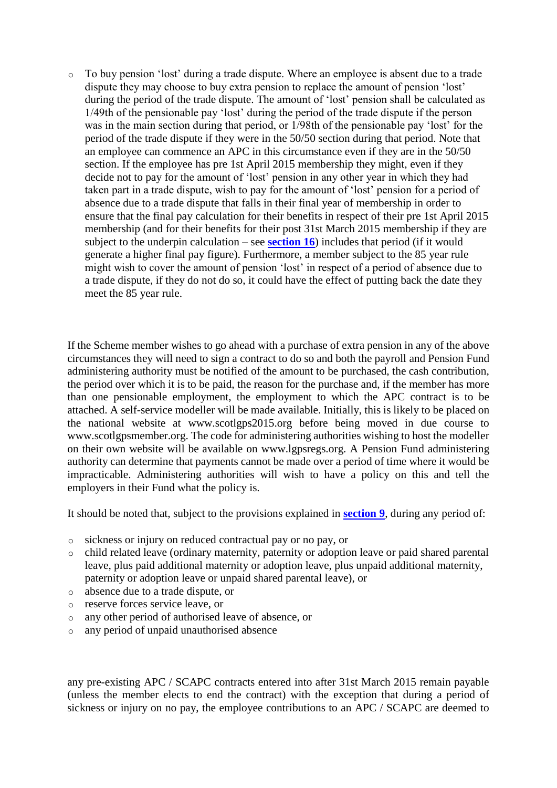o To buy pension 'lost' during a trade dispute. Where an employee is absent due to a trade dispute they may choose to buy extra pension to replace the amount of pension 'lost' during the period of the trade dispute. The amount of 'lost' pension shall be calculated as 1/49th of the pensionable pay 'lost' during the period of the trade dispute if the person was in the main section during that period, or 1/98th of the pensionable pay 'lost' for the period of the trade dispute if they were in the 50/50 section during that period. Note that an employee can commence an APC in this circumstance even if they are in the 50/50 section. If the employee has pre 1st April 2015 membership they might, even if they decide not to pay for the amount of 'lost' pension in any other year in which they had taken part in a trade dispute, wish to pay for the amount of 'lost' pension for a period of absence due to a trade dispute that falls in their final year of membership in order to ensure that the final pay calculation for their benefits in respect of their pre 1st April 2015 membership (and for their benefits for their post 31st March 2015 membership if they are subject to the underpin calculation – see **[section 16](http://www.lgpsregs.org/index.php/scotland/scot-hr-payroll-guides/lgps2015-hr-guide?showall=&start=19)**) includes that period (if it would generate a higher final pay figure). Furthermore, a member subject to the 85 year rule might wish to cover the amount of pension 'lost' in respect of a period of absence due to a trade dispute, if they do not do so, it could have the effect of putting back the date they meet the 85 year rule.

If the Scheme member wishes to go ahead with a purchase of extra pension in any of the above circumstances they will need to sign a contract to do so and both the payroll and Pension Fund administering authority must be notified of the amount to be purchased, the cash contribution, the period over which it is to be paid, the reason for the purchase and, if the member has more than one pensionable employment, the employment to which the APC contract is to be attached. A self-service modeller will be made available. Initially, this is likely to be placed on the national website at www.scotlgps2015.org before being moved in due course to www.scotlgpsmember.org. The code for administering authorities wishing to host the modeller on their own website will be available on www.lgpsregs.org. A Pension Fund administering authority can determine that payments cannot be made over a period of time where it would be impracticable. Administering authorities will wish to have a policy on this and tell the employers in their Fund what the policy is.

It should be noted that, subject to the provisions explained in **[section 9](http://www.lgpsregs.org/index.php/scotland/scot-hr-payroll-guides/lgps2015-hr-guide?showall=&start=11)**, during any period of:

- o sickness or injury on reduced contractual pay or no pay, or
- o child related leave (ordinary maternity, paternity or adoption leave or paid shared parental leave, plus paid additional maternity or adoption leave, plus unpaid additional maternity, paternity or adoption leave or unpaid shared parental leave), or
- o absence due to a trade dispute, or
- o reserve forces service leave, or
- o any other period of authorised leave of absence, or
- o any period of unpaid unauthorised absence

any pre-existing APC / SCAPC contracts entered into after 31st March 2015 remain payable (unless the member elects to end the contract) with the exception that during a period of sickness or injury on no pay, the employee contributions to an APC / SCAPC are deemed to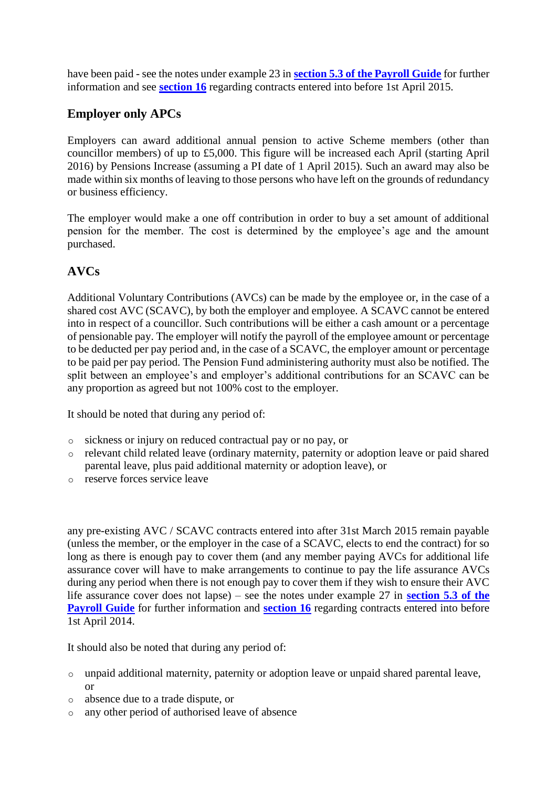have been paid - see the notes under example 23 in **[section 5.3 of the Payroll Guide](http://www.lgpsregs.org/index.php/scotland/scot-hr-payroll-guides/lgps2015-payroll-guide?showall=&start=11)** for further information and see **[section 16](http://www.lgpsregs.org/index.php/scotland/scot-hr-payroll-guides/lgps2015-hr-guide?showall=&start=19)** regarding contracts entered into before 1st April 2015.

### **Employer only APCs**

Employers can award additional annual pension to active Scheme members (other than councillor members) of up to £5,000. This figure will be increased each April (starting April 2016) by Pensions Increase (assuming a PI date of 1 April 2015). Such an award may also be made within six months of leaving to those persons who have left on the grounds of redundancy or business efficiency.

The employer would make a one off contribution in order to buy a set amount of additional pension for the member. The cost is determined by the employee's age and the amount purchased.

### **AVCs**

Additional Voluntary Contributions (AVCs) can be made by the employee or, in the case of a shared cost AVC (SCAVC), by both the employer and employee. A SCAVC cannot be entered into in respect of a councillor. Such contributions will be either a cash amount or a percentage of pensionable pay. The employer will notify the payroll of the employee amount or percentage to be deducted per pay period and, in the case of a SCAVC, the employer amount or percentage to be paid per pay period. The Pension Fund administering authority must also be notified. The split between an employee's and employer's additional contributions for an SCAVC can be any proportion as agreed but not 100% cost to the employer.

It should be noted that during any period of:

- o sickness or injury on reduced contractual pay or no pay, or
- o relevant child related leave (ordinary maternity, paternity or adoption leave or paid shared parental leave, plus paid additional maternity or adoption leave), or
- o reserve forces service leave

any pre-existing AVC / SCAVC contracts entered into after 31st March 2015 remain payable (unless the member, or the employer in the case of a SCAVC, elects to end the contract) for so long as there is enough pay to cover them (and any member paying AVCs for additional life assurance cover will have to make arrangements to continue to pay the life assurance AVCs during any period when there is not enough pay to cover them if they wish to ensure their AVC life assurance cover does not lapse) – see the notes under example 27 in **[section 5.3 of the](http://www.lgpsregs.org/index.php/scotland/scot-hr-payroll-guides/lgps2015-payroll-guide?showall=&start=11)  [Payroll Guide](http://www.lgpsregs.org/index.php/scotland/scot-hr-payroll-guides/lgps2015-payroll-guide?showall=&start=11)** for further information and **[section 16](http://www.lgpsregs.org/index.php/scotland/scot-hr-payroll-guides/lgps2015-hr-guide?showall=&start=19)** regarding contracts entered into before 1st April 2014.

It should also be noted that during any period of:

- o unpaid additional maternity, paternity or adoption leave or unpaid shared parental leave, or
- o absence due to a trade dispute, or
- o any other period of authorised leave of absence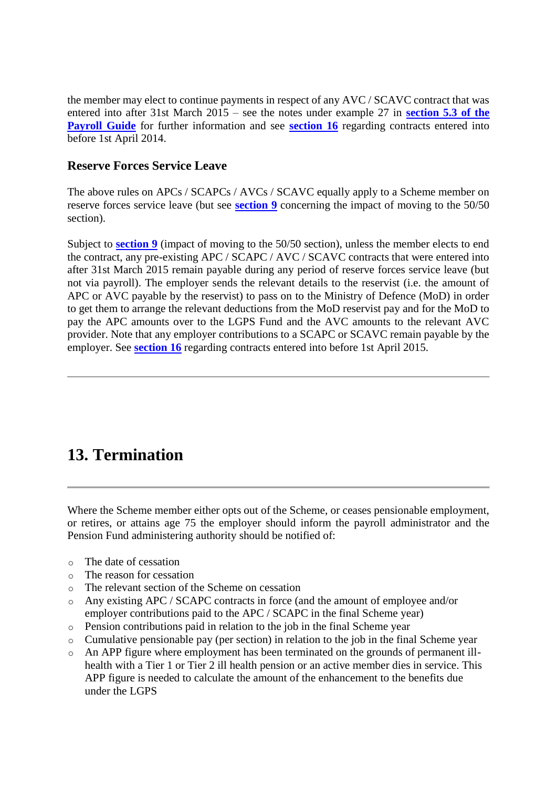the member may elect to continue payments in respect of any AVC / SCAVC contract that was entered into after 31st March 2015 – see the notes under example 27 in **[section 5.3 of the](http://www.lgpsregs.org/index.php/scotland/scot-hr-payroll-guides/lgps2015-payroll-guide?showall=&start=11)  [Payroll Guide](http://www.lgpsregs.org/index.php/scotland/scot-hr-payroll-guides/lgps2015-payroll-guide?showall=&start=11)** for further information and see **[section 16](http://www.lgpsregs.org/index.php/scotland/scot-hr-payroll-guides/lgps2015-hr-guide?showall=&start=19)** regarding contracts entered into before 1st April 2014.

### **Reserve Forces Service Leave**

The above rules on APCs / SCAPCs / AVCs / SCAVC equally apply to a Scheme member on reserve forces service leave (but see **[section 9](http://www.lgpsregs.org/index.php/scotland/scot-hr-payroll-guides/lgps2015-hr-guide?showall=&start=11)** concerning the impact of moving to the 50/50 section).

Subject to **[section 9](http://www.lgpsregs.org/index.php/scotland/scot-hr-payroll-guides/lgps2015-hr-guide?showall=&start=11)** (impact of moving to the 50/50 section), unless the member elects to end the contract, any pre-existing APC / SCAPC / AVC / SCAVC contracts that were entered into after 31st March 2015 remain payable during any period of reserve forces service leave (but not via payroll). The employer sends the relevant details to the reservist (i.e. the amount of APC or AVC payable by the reservist) to pass on to the Ministry of Defence (MoD) in order to get them to arrange the relevant deductions from the MoD reservist pay and for the MoD to pay the APC amounts over to the LGPS Fund and the AVC amounts to the relevant AVC provider. Note that any employer contributions to a SCAPC or SCAVC remain payable by the employer. See **[section 16](http://www.lgpsregs.org/index.php/scotland/scot-hr-payroll-guides/lgps2015-hr-guide?showall=&start=19)** regarding contracts entered into before 1st April 2015.

## **13. Termination**

Where the Scheme member either opts out of the Scheme, or ceases pensionable employment, or retires, or attains age 75 the employer should inform the payroll administrator and the Pension Fund administering authority should be notified of:

- o The date of cessation
- o The reason for cessation
- o The relevant section of the Scheme on cessation
- o Any existing APC / SCAPC contracts in force (and the amount of employee and/or employer contributions paid to the APC / SCAPC in the final Scheme year)
- o Pension contributions paid in relation to the job in the final Scheme year
- o Cumulative pensionable pay (per section) in relation to the job in the final Scheme year
- o An APP figure where employment has been terminated on the grounds of permanent illhealth with a Tier 1 or Tier 2 ill health pension or an active member dies in service. This APP figure is needed to calculate the amount of the enhancement to the benefits due under the LGPS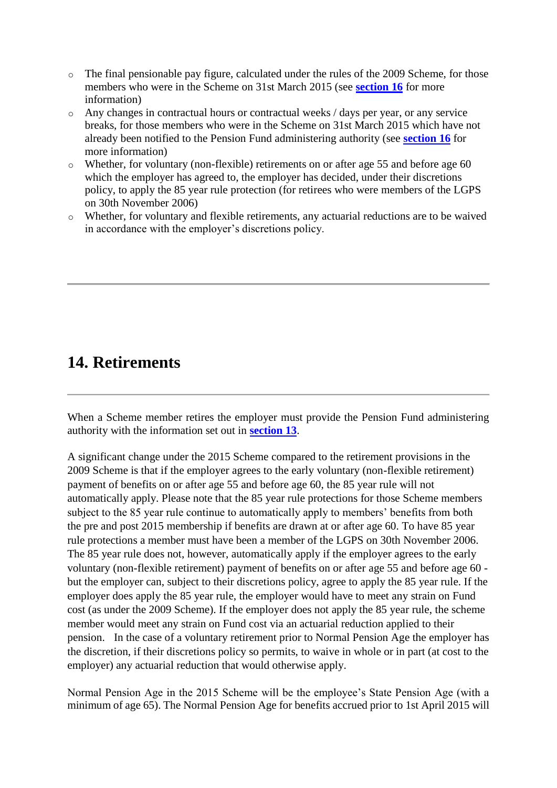- o The final pensionable pay figure, calculated under the rules of the 2009 Scheme, for those members who were in the Scheme on 31st March 2015 (see **[section 16](http://www.lgpsregs.org/index.php/scotland/scot-hr-payroll-guides/lgps2015-hr-guide?showall=&start=19)** for more information)
- o Any changes in contractual hours or contractual weeks / days per year, or any service breaks, for those members who were in the Scheme on 31st March 2015 which have not already been notified to the Pension Fund administering authority (see **[section 16](http://www.lgpsregs.org/index.php/scotland/scot-hr-payroll-guides/lgps2015-hr-guide?showall=&start=19)** for more information)
- o Whether, for voluntary (non-flexible) retirements on or after age 55 and before age 60 which the employer has agreed to, the employer has decided, under their discretions policy, to apply the 85 year rule protection (for retirees who were members of the LGPS on 30th November 2006)
- o Whether, for voluntary and flexible retirements, any actuarial reductions are to be waived in accordance with the employer's discretions policy.

## **14. Retirements**

When a Scheme member retires the employer must provide the Pension Fund administering authority with the information set out in **[section 13](http://www.lgpsregs.org/index.php/scotland/scot-hr-payroll-guides/lgps2015-hr-guide?showall=&start=16)**.

A significant change under the 2015 Scheme compared to the retirement provisions in the 2009 Scheme is that if the employer agrees to the early voluntary (non-flexible retirement) payment of benefits on or after age 55 and before age 60, the 85 year rule will not automatically apply. Please note that the 85 year rule protections for those Scheme members subject to the 85 year rule continue to automatically apply to members' benefits from both the pre and post 2015 membership if benefits are drawn at or after age 60. To have 85 year rule protections a member must have been a member of the LGPS on 30th November 2006. The 85 year rule does not, however, automatically apply if the employer agrees to the early voluntary (non-flexible retirement) payment of benefits on or after age 55 and before age 60 but the employer can, subject to their discretions policy, agree to apply the 85 year rule. If the employer does apply the 85 year rule, the employer would have to meet any strain on Fund cost (as under the 2009 Scheme). If the employer does not apply the 85 year rule, the scheme member would meet any strain on Fund cost via an actuarial reduction applied to their pension. In the case of a voluntary retirement prior to Normal Pension Age the employer has the discretion, if their discretions policy so permits, to waive in whole or in part (at cost to the employer) any actuarial reduction that would otherwise apply.

Normal Pension Age in the 2015 Scheme will be the employee's State Pension Age (with a minimum of age 65). The Normal Pension Age for benefits accrued prior to 1st April 2015 will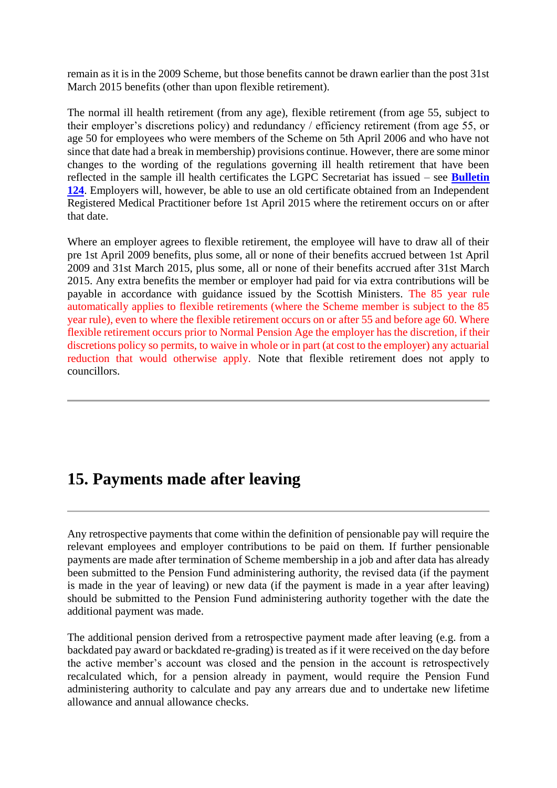remain as it is in the 2009 Scheme, but those benefits cannot be drawn earlier than the post 31st March 2015 benefits (other than upon flexible retirement).

The normal ill health retirement (from any age), flexible retirement (from age 55, subject to their employer's discretions policy) and redundancy / efficiency retirement (from age 55, or age 50 for employees who were members of the Scheme on 5th April 2006 and who have not since that date had a break in membership) provisions continue. However, there are some minor changes to the wording of the regulations governing ill health retirement that have been reflected in the sample ill health certificates the LGPC Secretariat has issued – see **[Bulletin](http://www.lgpsregs.org/index.php/resources/news-updates)  [124](http://www.lgpsregs.org/index.php/resources/news-updates)**. Employers will, however, be able to use an old certificate obtained from an Independent Registered Medical Practitioner before 1st April 2015 where the retirement occurs on or after that date.

Where an employer agrees to flexible retirement, the employee will have to draw all of their pre 1st April 2009 benefits, plus some, all or none of their benefits accrued between 1st April 2009 and 31st March 2015, plus some, all or none of their benefits accrued after 31st March 2015. Any extra benefits the member or employer had paid for via extra contributions will be payable in accordance with guidance issued by the Scottish Ministers. The 85 year rule automatically applies to flexible retirements (where the Scheme member is subject to the 85 year rule), even to where the flexible retirement occurs on or after 55 and before age 60. Where flexible retirement occurs prior to Normal Pension Age the employer has the discretion, if their discretions policy so permits, to waive in whole or in part (at cost to the employer) any actuarial reduction that would otherwise apply. Note that flexible retirement does not apply to councillors.

### **15. Payments made after leaving**

Any retrospective payments that come within the definition of pensionable pay will require the relevant employees and employer contributions to be paid on them. If further pensionable payments are made after termination of Scheme membership in a job and after data has already been submitted to the Pension Fund administering authority, the revised data (if the payment is made in the year of leaving) or new data (if the payment is made in a year after leaving) should be submitted to the Pension Fund administering authority together with the date the additional payment was made.

The additional pension derived from a retrospective payment made after leaving (e.g. from a backdated pay award or backdated re-grading) is treated as if it were received on the day before the active member's account was closed and the pension in the account is retrospectively recalculated which, for a pension already in payment, would require the Pension Fund administering authority to calculate and pay any arrears due and to undertake new lifetime allowance and annual allowance checks.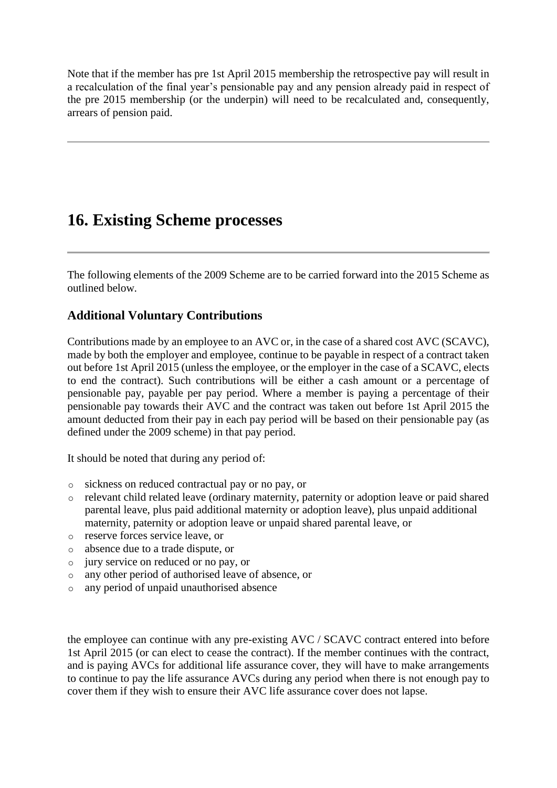Note that if the member has pre 1st April 2015 membership the retrospective pay will result in a recalculation of the final year's pensionable pay and any pension already paid in respect of the pre 2015 membership (or the underpin) will need to be recalculated and, consequently, arrears of pension paid.

### **16. Existing Scheme processes**

The following elements of the 2009 Scheme are to be carried forward into the 2015 Scheme as outlined below.

### **Additional Voluntary Contributions**

Contributions made by an employee to an AVC or, in the case of a shared cost AVC (SCAVC), made by both the employer and employee, continue to be payable in respect of a contract taken out before 1st April 2015 (unless the employee, or the employer in the case of a SCAVC, elects to end the contract). Such contributions will be either a cash amount or a percentage of pensionable pay, payable per pay period. Where a member is paying a percentage of their pensionable pay towards their AVC and the contract was taken out before 1st April 2015 the amount deducted from their pay in each pay period will be based on their pensionable pay (as defined under the 2009 scheme) in that pay period.

It should be noted that during any period of:

- o sickness on reduced contractual pay or no pay, or
- o relevant child related leave (ordinary maternity, paternity or adoption leave or paid shared parental leave, plus paid additional maternity or adoption leave), plus unpaid additional maternity, paternity or adoption leave or unpaid shared parental leave, or
- o reserve forces service leave, or
- o absence due to a trade dispute, or
- o jury service on reduced or no pay, or
- o any other period of authorised leave of absence, or
- o any period of unpaid unauthorised absence

the employee can continue with any pre-existing AVC / SCAVC contract entered into before 1st April 2015 (or can elect to cease the contract). If the member continues with the contract, and is paying AVCs for additional life assurance cover, they will have to make arrangements to continue to pay the life assurance AVCs during any period when there is not enough pay to cover them if they wish to ensure their AVC life assurance cover does not lapse.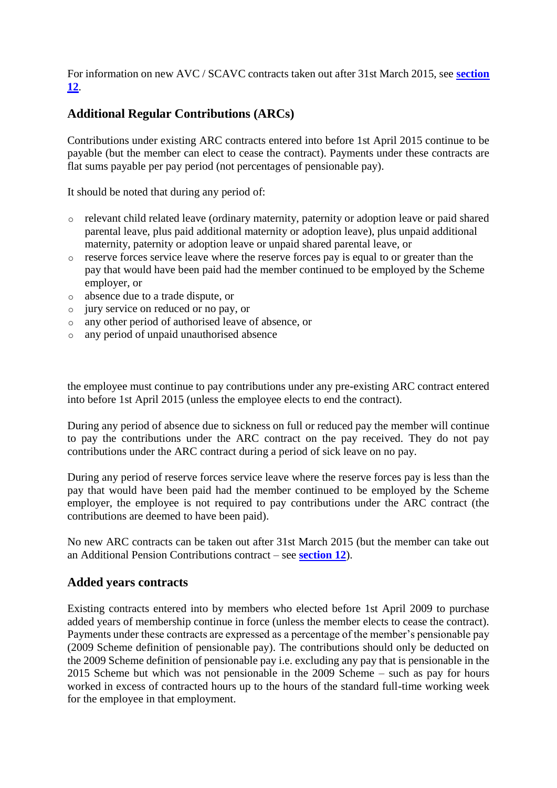For information on new AVC / SCAVC contracts taken out after 31st March 2015, see **[section](http://www.lgpsregs.org/index.php/scotland/scot-hr-payroll-guides/lgps2015-hr-guide?showall=&start=15)  [12](http://www.lgpsregs.org/index.php/scotland/scot-hr-payroll-guides/lgps2015-hr-guide?showall=&start=15)**.

### **Additional Regular Contributions (ARCs)**

Contributions under existing ARC contracts entered into before 1st April 2015 continue to be payable (but the member can elect to cease the contract). Payments under these contracts are flat sums payable per pay period (not percentages of pensionable pay).

It should be noted that during any period of:

- o relevant child related leave (ordinary maternity, paternity or adoption leave or paid shared parental leave, plus paid additional maternity or adoption leave), plus unpaid additional maternity, paternity or adoption leave or unpaid shared parental leave, or
- o reserve forces service leave where the reserve forces pay is equal to or greater than the pay that would have been paid had the member continued to be employed by the Scheme employer, or
- o absence due to a trade dispute, or
- o jury service on reduced or no pay, or
- o any other period of authorised leave of absence, or
- o any period of unpaid unauthorised absence

the employee must continue to pay contributions under any pre-existing ARC contract entered into before 1st April 2015 (unless the employee elects to end the contract).

During any period of absence due to sickness on full or reduced pay the member will continue to pay the contributions under the ARC contract on the pay received. They do not pay contributions under the ARC contract during a period of sick leave on no pay.

During any period of reserve forces service leave where the reserve forces pay is less than the pay that would have been paid had the member continued to be employed by the Scheme employer, the employee is not required to pay contributions under the ARC contract (the contributions are deemed to have been paid).

No new ARC contracts can be taken out after 31st March 2015 (but the member can take out an Additional Pension Contributions contract – see **[section 12](http://www.lgpsregs.org/index.php/scotland/scot-hr-payroll-guides/lgps2015-hr-guide?showall=&start=15)**).

### **Added years contracts**

Existing contracts entered into by members who elected before 1st April 2009 to purchase added years of membership continue in force (unless the member elects to cease the contract). Payments under these contracts are expressed as a percentage of the member's pensionable pay (2009 Scheme definition of pensionable pay). The contributions should only be deducted on the 2009 Scheme definition of pensionable pay i.e. excluding any pay that is pensionable in the 2015 Scheme but which was not pensionable in the 2009 Scheme – such as pay for hours worked in excess of contracted hours up to the hours of the standard full-time working week for the employee in that employment.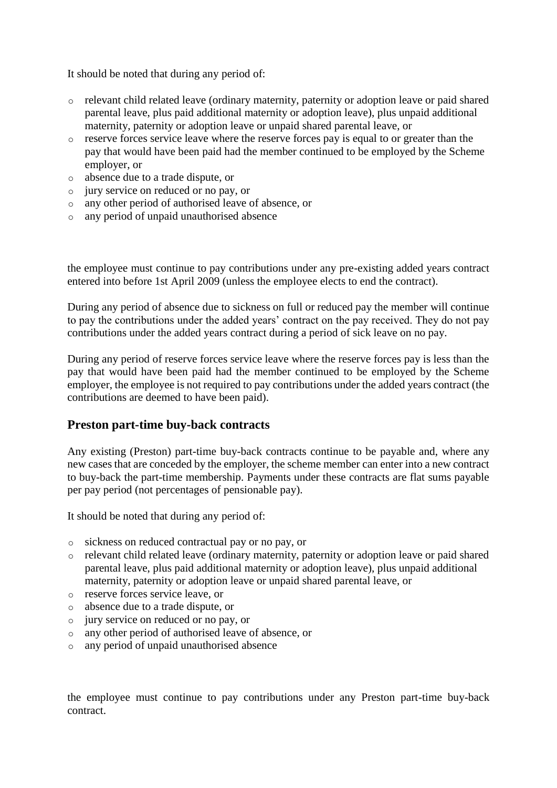It should be noted that during any period of:

- o relevant child related leave (ordinary maternity, paternity or adoption leave or paid shared parental leave, plus paid additional maternity or adoption leave), plus unpaid additional maternity, paternity or adoption leave or unpaid shared parental leave, or
- o reserve forces service leave where the reserve forces pay is equal to or greater than the pay that would have been paid had the member continued to be employed by the Scheme employer, or
- o absence due to a trade dispute, or
- o jury service on reduced or no pay, or
- o any other period of authorised leave of absence, or
- o any period of unpaid unauthorised absence

the employee must continue to pay contributions under any pre-existing added years contract entered into before 1st April 2009 (unless the employee elects to end the contract).

During any period of absence due to sickness on full or reduced pay the member will continue to pay the contributions under the added years' contract on the pay received. They do not pay contributions under the added years contract during a period of sick leave on no pay.

During any period of reserve forces service leave where the reserve forces pay is less than the pay that would have been paid had the member continued to be employed by the Scheme employer, the employee is not required to pay contributions under the added years contract (the contributions are deemed to have been paid).

#### **Preston part-time buy-back contracts**

Any existing (Preston) part-time buy-back contracts continue to be payable and, where any new cases that are conceded by the employer, the scheme member can enter into a new contract to buy-back the part-time membership. Payments under these contracts are flat sums payable per pay period (not percentages of pensionable pay).

It should be noted that during any period of:

- o sickness on reduced contractual pay or no pay, or
- o relevant child related leave (ordinary maternity, paternity or adoption leave or paid shared parental leave, plus paid additional maternity or adoption leave), plus unpaid additional maternity, paternity or adoption leave or unpaid shared parental leave, or
- o reserve forces service leave, or
- o absence due to a trade dispute, or
- o jury service on reduced or no pay, or
- o any other period of authorised leave of absence, or
- o any period of unpaid unauthorised absence

the employee must continue to pay contributions under any Preston part-time buy-back contract.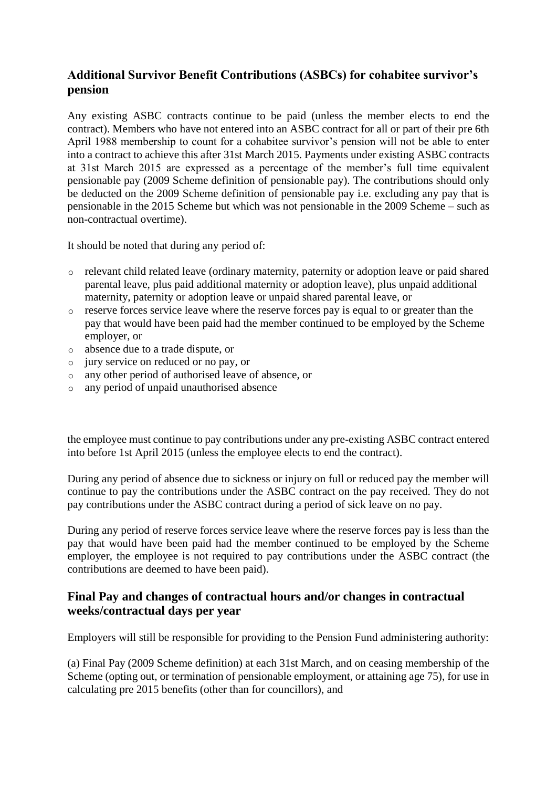### **Additional Survivor Benefit Contributions (ASBCs) for cohabitee survivor's pension**

Any existing ASBC contracts continue to be paid (unless the member elects to end the contract). Members who have not entered into an ASBC contract for all or part of their pre 6th April 1988 membership to count for a cohabitee survivor's pension will not be able to enter into a contract to achieve this after 31st March 2015. Payments under existing ASBC contracts at 31st March 2015 are expressed as a percentage of the member's full time equivalent pensionable pay (2009 Scheme definition of pensionable pay). The contributions should only be deducted on the 2009 Scheme definition of pensionable pay i.e. excluding any pay that is pensionable in the 2015 Scheme but which was not pensionable in the 2009 Scheme – such as non-contractual overtime).

It should be noted that during any period of:

- o relevant child related leave (ordinary maternity, paternity or adoption leave or paid shared parental leave, plus paid additional maternity or adoption leave), plus unpaid additional maternity, paternity or adoption leave or unpaid shared parental leave, or
- o reserve forces service leave where the reserve forces pay is equal to or greater than the pay that would have been paid had the member continued to be employed by the Scheme employer, or
- o absence due to a trade dispute, or
- o jury service on reduced or no pay, or
- o any other period of authorised leave of absence, or
- o any period of unpaid unauthorised absence

the employee must continue to pay contributions under any pre-existing ASBC contract entered into before 1st April 2015 (unless the employee elects to end the contract).

During any period of absence due to sickness or injury on full or reduced pay the member will continue to pay the contributions under the ASBC contract on the pay received. They do not pay contributions under the ASBC contract during a period of sick leave on no pay.

During any period of reserve forces service leave where the reserve forces pay is less than the pay that would have been paid had the member continued to be employed by the Scheme employer, the employee is not required to pay contributions under the ASBC contract (the contributions are deemed to have been paid).

### **Final Pay and changes of contractual hours and/or changes in contractual weeks/contractual days per year**

Employers will still be responsible for providing to the Pension Fund administering authority:

(a) Final Pay (2009 Scheme definition) at each 31st March, and on ceasing membership of the Scheme (opting out, or termination of pensionable employment, or attaining age 75), for use in calculating pre 2015 benefits (other than for councillors), and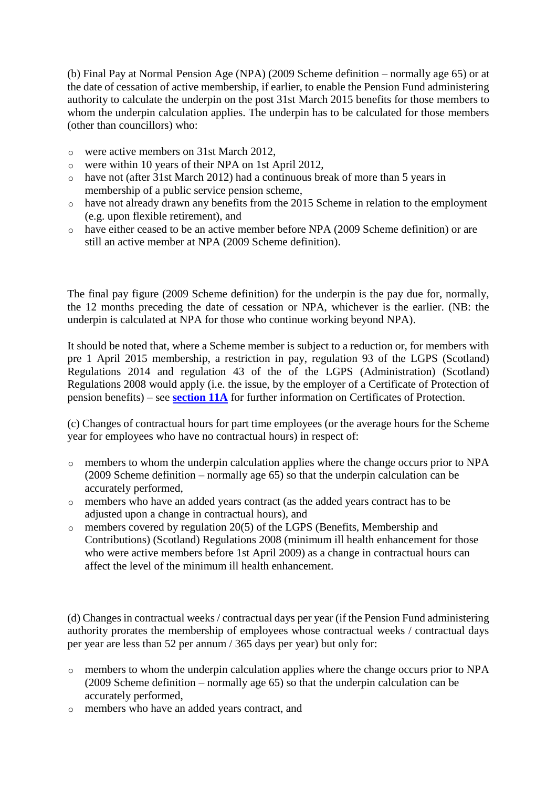(b) Final Pay at Normal Pension Age (NPA) (2009 Scheme definition – normally age 65) or at the date of cessation of active membership, if earlier, to enable the Pension Fund administering authority to calculate the underpin on the post 31st March 2015 benefits for those members to whom the underpin calculation applies. The underpin has to be calculated for those members (other than councillors) who:

- o were active members on 31st March 2012,
- o were within 10 years of their NPA on 1st April 2012,
- o have not (after 31st March 2012) had a continuous break of more than 5 years in membership of a public service pension scheme,
- o have not already drawn any benefits from the 2015 Scheme in relation to the employment (e.g. upon flexible retirement), and
- o have either ceased to be an active member before NPA (2009 Scheme definition) or are still an active member at NPA (2009 Scheme definition).

The final pay figure (2009 Scheme definition) for the underpin is the pay due for, normally, the 12 months preceding the date of cessation or NPA, whichever is the earlier. (NB: the underpin is calculated at NPA for those who continue working beyond NPA).

It should be noted that, where a Scheme member is subject to a reduction or, for members with pre 1 April 2015 membership, a restriction in pay, regulation 93 of the LGPS (Scotland) Regulations 2014 and regulation 43 of the of the LGPS (Administration) (Scotland) Regulations 2008 would apply (i.e. the issue, by the employer of a Certificate of Protection of pension benefits) – see **[section 11A](http://www.lgpsregs.org/index.php/scotland/scot-hr-payroll-guides/lgps2015-hr-guide?showall=&start=14)** for further information on Certificates of Protection.

(c) Changes of contractual hours for part time employees (or the average hours for the Scheme year for employees who have no contractual hours) in respect of:

- o members to whom the underpin calculation applies where the change occurs prior to NPA (2009 Scheme definition – normally age 65) so that the underpin calculation can be accurately performed,
- o members who have an added years contract (as the added years contract has to be adjusted upon a change in contractual hours), and
- o members covered by regulation 20(5) of the LGPS (Benefits, Membership and Contributions) (Scotland) Regulations 2008 (minimum ill health enhancement for those who were active members before 1st April 2009) as a change in contractual hours can affect the level of the minimum ill health enhancement.

(d) Changes in contractual weeks / contractual days per year (if the Pension Fund administering authority prorates the membership of employees whose contractual weeks / contractual days per year are less than 52 per annum / 365 days per year) but only for:

- o members to whom the underpin calculation applies where the change occurs prior to NPA (2009 Scheme definition – normally age 65) so that the underpin calculation can be accurately performed,
- o members who have an added years contract, and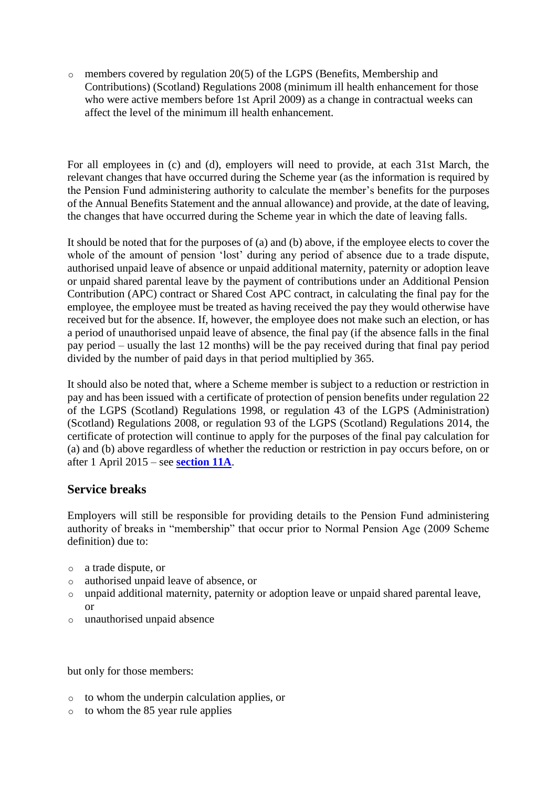o members covered by regulation 20(5) of the LGPS (Benefits, Membership and Contributions) (Scotland) Regulations 2008 (minimum ill health enhancement for those who were active members before 1st April 2009) as a change in contractual weeks can affect the level of the minimum ill health enhancement.

For all employees in (c) and (d), employers will need to provide, at each 31st March, the relevant changes that have occurred during the Scheme year (as the information is required by the Pension Fund administering authority to calculate the member's benefits for the purposes of the Annual Benefits Statement and the annual allowance) and provide, at the date of leaving, the changes that have occurred during the Scheme year in which the date of leaving falls.

It should be noted that for the purposes of (a) and (b) above, if the employee elects to cover the whole of the amount of pension 'lost' during any period of absence due to a trade dispute, authorised unpaid leave of absence or unpaid additional maternity, paternity or adoption leave or unpaid shared parental leave by the payment of contributions under an Additional Pension Contribution (APC) contract or Shared Cost APC contract, in calculating the final pay for the employee, the employee must be treated as having received the pay they would otherwise have received but for the absence. If, however, the employee does not make such an election, or has a period of unauthorised unpaid leave of absence, the final pay (if the absence falls in the final pay period – usually the last 12 months) will be the pay received during that final pay period divided by the number of paid days in that period multiplied by 365.

It should also be noted that, where a Scheme member is subject to a reduction or restriction in pay and has been issued with a certificate of protection of pension benefits under regulation 22 of the LGPS (Scotland) Regulations 1998, or regulation 43 of the LGPS (Administration) (Scotland) Regulations 2008, or regulation 93 of the LGPS (Scotland) Regulations 2014, the certificate of protection will continue to apply for the purposes of the final pay calculation for (a) and (b) above regardless of whether the reduction or restriction in pay occurs before, on or after 1 April 2015 – see **[section 11A](http://www.lgpsregs.org/index.php/scotland/scot-hr-payroll-guides/lgps2015-hr-guide?showall=&start=14)**.

#### **Service breaks**

Employers will still be responsible for providing details to the Pension Fund administering authority of breaks in "membership" that occur prior to Normal Pension Age (2009 Scheme definition) due to:

- o a trade dispute, or
- o authorised unpaid leave of absence, or
- o unpaid additional maternity, paternity or adoption leave or unpaid shared parental leave, or
- o unauthorised unpaid absence

but only for those members:

- o to whom the underpin calculation applies, or
- o to whom the 85 year rule applies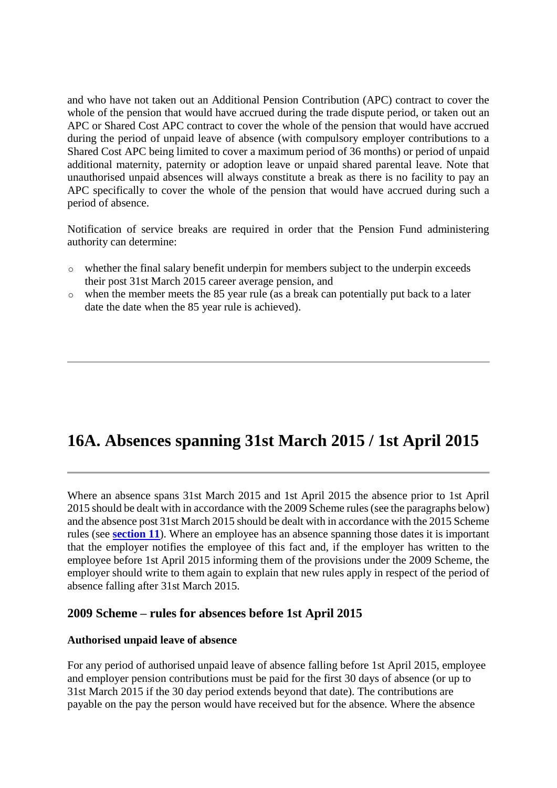and who have not taken out an Additional Pension Contribution (APC) contract to cover the whole of the pension that would have accrued during the trade dispute period, or taken out an APC or Shared Cost APC contract to cover the whole of the pension that would have accrued during the period of unpaid leave of absence (with compulsory employer contributions to a Shared Cost APC being limited to cover a maximum period of 36 months) or period of unpaid additional maternity, paternity or adoption leave or unpaid shared parental leave. Note that unauthorised unpaid absences will always constitute a break as there is no facility to pay an APC specifically to cover the whole of the pension that would have accrued during such a period of absence.

Notification of service breaks are required in order that the Pension Fund administering authority can determine:

- o whether the final salary benefit underpin for members subject to the underpin exceeds their post 31st March 2015 career average pension, and
- $\circ$  when the member meets the 85 year rule (as a break can potentially put back to a later date the date when the 85 year rule is achieved).

# **16A. Absences spanning 31st March 2015 / 1st April 2015**

Where an absence spans 31st March 2015 and 1st April 2015 the absence prior to 1st April 2015 should be dealt with in accordance with the 2009 Scheme rules (see the paragraphs below) and the absence post 31st March 2015 should be dealt with in accordance with the 2015 Scheme rules (see **[section 11](http://www.lgpsregs.org/index.php/scotland/scot-hr-payroll-guides/lgps2015-hr-guide?showall=&start=13)**). Where an employee has an absence spanning those dates it is important that the employer notifies the employee of this fact and, if the employer has written to the employee before 1st April 2015 informing them of the provisions under the 2009 Scheme, the employer should write to them again to explain that new rules apply in respect of the period of absence falling after 31st March 2015.

#### **2009 Scheme – rules for absences before 1st April 2015**

#### **Authorised unpaid leave of absence**

For any period of authorised unpaid leave of absence falling before 1st April 2015, employee and employer pension contributions must be paid for the first 30 days of absence (or up to 31st March 2015 if the 30 day period extends beyond that date). The contributions are payable on the pay the person would have received but for the absence. Where the absence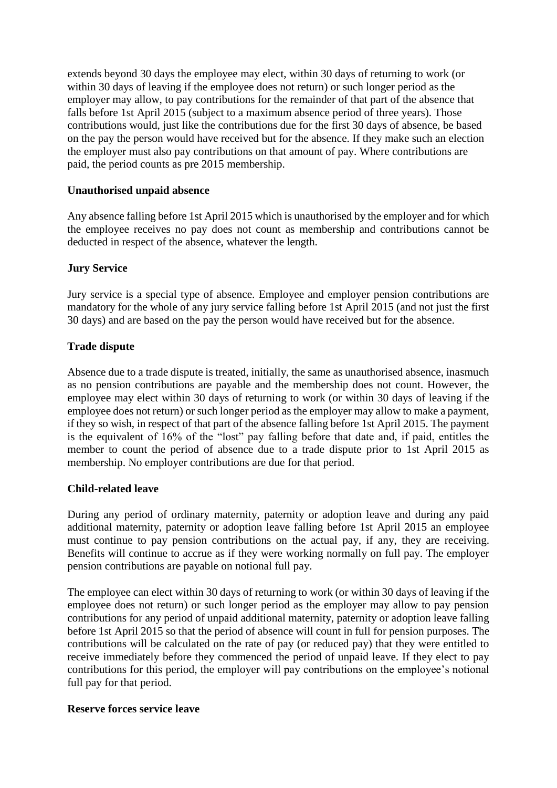extends beyond 30 days the employee may elect, within 30 days of returning to work (or within 30 days of leaving if the employee does not return) or such longer period as the employer may allow, to pay contributions for the remainder of that part of the absence that falls before 1st April 2015 (subject to a maximum absence period of three years). Those contributions would, just like the contributions due for the first 30 days of absence, be based on the pay the person would have received but for the absence. If they make such an election the employer must also pay contributions on that amount of pay. Where contributions are paid, the period counts as pre 2015 membership.

#### **Unauthorised unpaid absence**

Any absence falling before 1st April 2015 which is unauthorised by the employer and for which the employee receives no pay does not count as membership and contributions cannot be deducted in respect of the absence, whatever the length.

#### **Jury Service**

Jury service is a special type of absence. Employee and employer pension contributions are mandatory for the whole of any jury service falling before 1st April 2015 (and not just the first 30 days) and are based on the pay the person would have received but for the absence.

#### **Trade dispute**

Absence due to a trade dispute is treated, initially, the same as unauthorised absence, inasmuch as no pension contributions are payable and the membership does not count. However, the employee may elect within 30 days of returning to work (or within 30 days of leaving if the employee does not return) or such longer period as the employer may allow to make a payment, if they so wish, in respect of that part of the absence falling before 1st April 2015. The payment is the equivalent of 16% of the "lost" pay falling before that date and, if paid, entitles the member to count the period of absence due to a trade dispute prior to 1st April 2015 as membership. No employer contributions are due for that period.

#### **Child-related leave**

During any period of ordinary maternity, paternity or adoption leave and during any paid additional maternity, paternity or adoption leave falling before 1st April 2015 an employee must continue to pay pension contributions on the actual pay, if any, they are receiving. Benefits will continue to accrue as if they were working normally on full pay. The employer pension contributions are payable on notional full pay.

The employee can elect within 30 days of returning to work (or within 30 days of leaving if the employee does not return) or such longer period as the employer may allow to pay pension contributions for any period of unpaid additional maternity, paternity or adoption leave falling before 1st April 2015 so that the period of absence will count in full for pension purposes. The contributions will be calculated on the rate of pay (or reduced pay) that they were entitled to receive immediately before they commenced the period of unpaid leave. If they elect to pay contributions for this period, the employer will pay contributions on the employee's notional full pay for that period.

#### **Reserve forces service leave**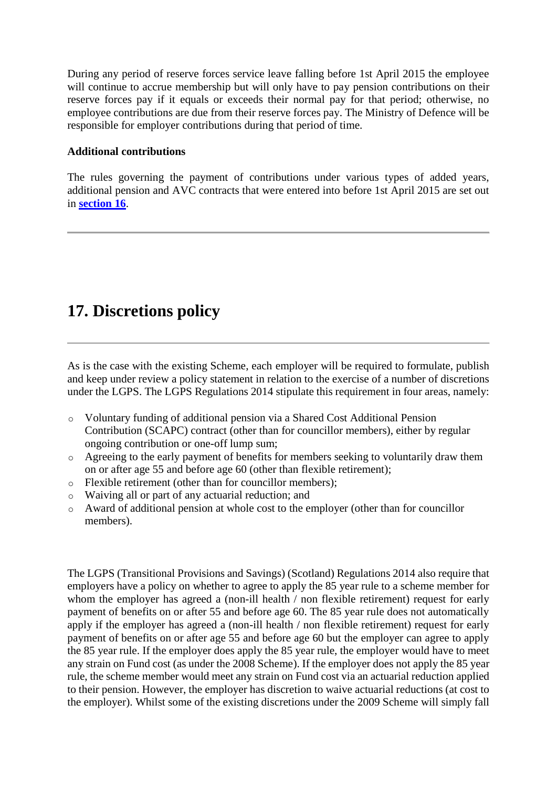During any period of reserve forces service leave falling before 1st April 2015 the employee will continue to accrue membership but will only have to pay pension contributions on their reserve forces pay if it equals or exceeds their normal pay for that period; otherwise, no employee contributions are due from their reserve forces pay. The Ministry of Defence will be responsible for employer contributions during that period of time.

#### **Additional contributions**

The rules governing the payment of contributions under various types of added years, additional pension and AVC contracts that were entered into before 1st April 2015 are set out in **[section 16](http://www.lgpsregs.org/index.php/scotland/scot-hr-payroll-guides/lgps2015-hr-guide?showall=&start=19)**.

# **17. Discretions policy**

As is the case with the existing Scheme, each employer will be required to formulate, publish and keep under review a policy statement in relation to the exercise of a number of discretions under the LGPS. The LGPS Regulations 2014 stipulate this requirement in four areas, namely:

- o Voluntary funding of additional pension via a Shared Cost Additional Pension Contribution (SCAPC) contract (other than for councillor members), either by regular ongoing contribution or one-off lump sum;
- o Agreeing to the early payment of benefits for members seeking to voluntarily draw them on or after age 55 and before age 60 (other than flexible retirement);
- o Flexible retirement (other than for councillor members);
- o Waiving all or part of any actuarial reduction; and
- o Award of additional pension at whole cost to the employer (other than for councillor members).

The LGPS (Transitional Provisions and Savings) (Scotland) Regulations 2014 also require that employers have a policy on whether to agree to apply the 85 year rule to a scheme member for whom the employer has agreed a (non-ill health / non flexible retirement) request for early payment of benefits on or after 55 and before age 60. The 85 year rule does not automatically apply if the employer has agreed a (non-ill health / non flexible retirement) request for early payment of benefits on or after age 55 and before age 60 but the employer can agree to apply the 85 year rule. If the employer does apply the 85 year rule, the employer would have to meet any strain on Fund cost (as under the 2008 Scheme). If the employer does not apply the 85 year rule, the scheme member would meet any strain on Fund cost via an actuarial reduction applied to their pension. However, the employer has discretion to waive actuarial reductions (at cost to the employer). Whilst some of the existing discretions under the 2009 Scheme will simply fall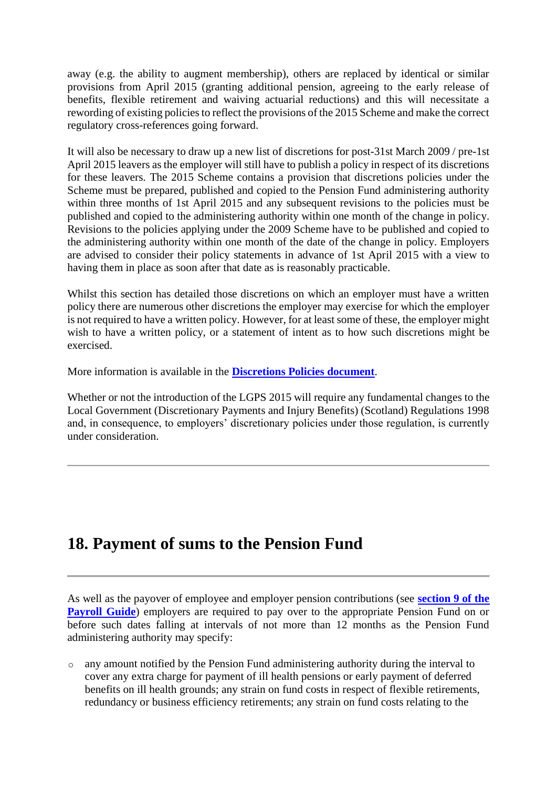away (e.g. the ability to augment membership), others are replaced by identical or similar provisions from April 2015 (granting additional pension, agreeing to the early release of benefits, flexible retirement and waiving actuarial reductions) and this will necessitate a rewording of existing policies to reflect the provisions of the 2015 Scheme and make the correct regulatory cross-references going forward.

It will also be necessary to draw up a new list of discretions for post-31st March 2009 / pre-1st April 2015 leavers as the employer will still have to publish a policy in respect of its discretions for these leavers. The 2015 Scheme contains a provision that discretions policies under the Scheme must be prepared, published and copied to the Pension Fund administering authority within three months of 1st April 2015 and any subsequent revisions to the policies must be published and copied to the administering authority within one month of the change in policy. Revisions to the policies applying under the 2009 Scheme have to be published and copied to the administering authority within one month of the date of the change in policy. Employers are advised to consider their policy statements in advance of 1st April 2015 with a view to having them in place as soon after that date as is reasonably practicable.

Whilst this section has detailed those discretions on which an employer must have a written policy there are numerous other discretions the employer may exercise for which the employer is not required to have a written policy. However, for at least some of these, the employer might wish to have a written policy, or a statement of intent as to how such discretions might be exercised.

More information is available in the **[Discretions Policies document](http://www.lgpsregs.org/index.php/scotland/admin-guides)**.

Whether or not the introduction of the LGPS 2015 will require any fundamental changes to the Local Government (Discretionary Payments and Injury Benefits) (Scotland) Regulations 1998 and, in consequence, to employers' discretionary policies under those regulation, is currently under consideration.

## **18. Payment of sums to the Pension Fund**

As well as the payover of employee and employer pension contributions (see **[section 9 of the](http://www.lgpsregs.org/index.php/scotland/scot-hr-payroll-guides/lgps2015-payroll-guide?showall=&start=19)  [Payroll Guide](http://www.lgpsregs.org/index.php/scotland/scot-hr-payroll-guides/lgps2015-payroll-guide?showall=&start=19)**) employers are required to pay over to the appropriate Pension Fund on or before such dates falling at intervals of not more than 12 months as the Pension Fund administering authority may specify:

o any amount notified by the Pension Fund administering authority during the interval to cover any extra charge for payment of ill health pensions or early payment of deferred benefits on ill health grounds; any strain on fund costs in respect of flexible retirements, redundancy or business efficiency retirements; any strain on fund costs relating to the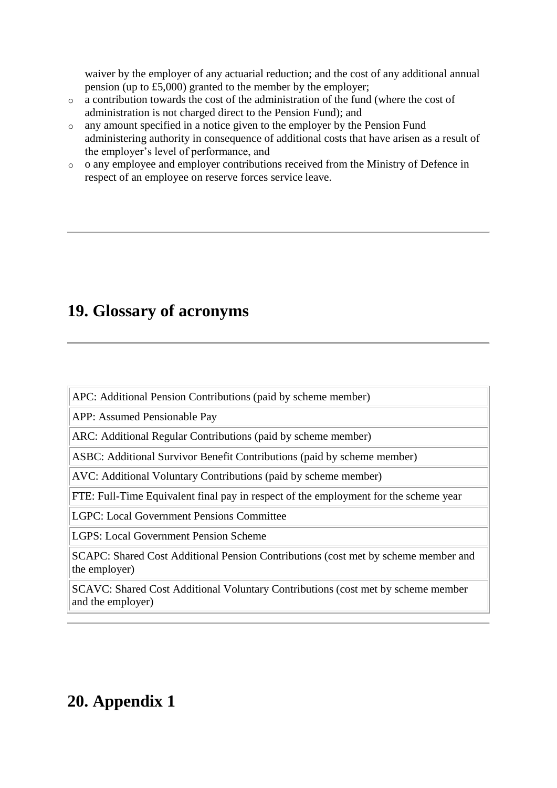waiver by the employer of any actuarial reduction; and the cost of any additional annual pension (up to £5,000) granted to the member by the employer;

- o a contribution towards the cost of the administration of the fund (where the cost of administration is not charged direct to the Pension Fund); and
- o any amount specified in a notice given to the employer by the Pension Fund administering authority in consequence of additional costs that have arisen as a result of the employer's level of performance, and
- o o any employee and employer contributions received from the Ministry of Defence in respect of an employee on reserve forces service leave.

## **19. Glossary of acronyms**

APC: Additional Pension Contributions (paid by scheme member)

APP: Assumed Pensionable Pay

ARC: Additional Regular Contributions (paid by scheme member)

ASBC: Additional Survivor Benefit Contributions (paid by scheme member)

AVC: Additional Voluntary Contributions (paid by scheme member)

FTE: Full-Time Equivalent final pay in respect of the employment for the scheme year

LGPC: Local Government Pensions Committee

LGPS: Local Government Pension Scheme

SCAPC: Shared Cost Additional Pension Contributions (cost met by scheme member and the employer)

SCAVC: Shared Cost Additional Voluntary Contributions (cost met by scheme member and the employer)

# **20. Appendix 1**